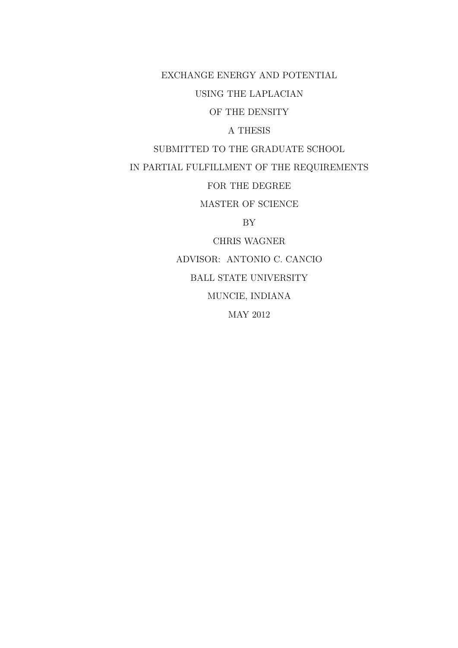EXCHANGE ENERGY AND POTENTIAL

USING THE LAPLACIAN

OF THE DENSITY

A THESIS

SUBMITTED TO THE GRADUATE SCHOOL

IN PARTIAL FULFILLMENT OF THE REQUIREMENTS

FOR THE DEGREE

MASTER OF SCIENCE

BY

CHRIS WAGNER

ADVISOR: ANTONIO C. CANCIO

BALL STATE UNIVERSITY

MUNCIE, INDIANA

MAY 2012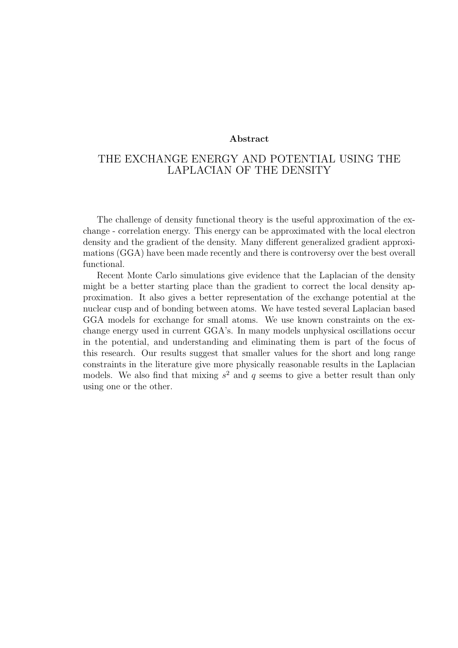#### **Abstract**

#### THE EXCHANGE ENERGY AND POTENTIAL USING THE LAPLACIAN OF THE DENSITY

The challenge of density functional theory is the useful approximation of the exchange - correlation energy. This energy can be approximated with the local electron density and the gradient of the density. Many different generalized gradient approximations (GGA) have been made recently and there is controversy over the best overall functional.

Recent Monte Carlo simulations give evidence that the Laplacian of the density might be a better starting place than the gradient to correct the local density approximation. It also gives a better representation of the exchange potential at the nuclear cusp and of bonding between atoms. We have tested several Laplacian based GGA models for exchange for small atoms. We use known constraints on the exchange energy used in current GGA's. In many models unphysical oscillations occur in the potential, and understanding and eliminating them is part of the focus of this research. Our results suggest that smaller values for the short and long range constraints in the literature give more physically reasonable results in the Laplacian models. We also find that mixing  $s^2$  and  $q$  seems to give a better result than only using one or the other.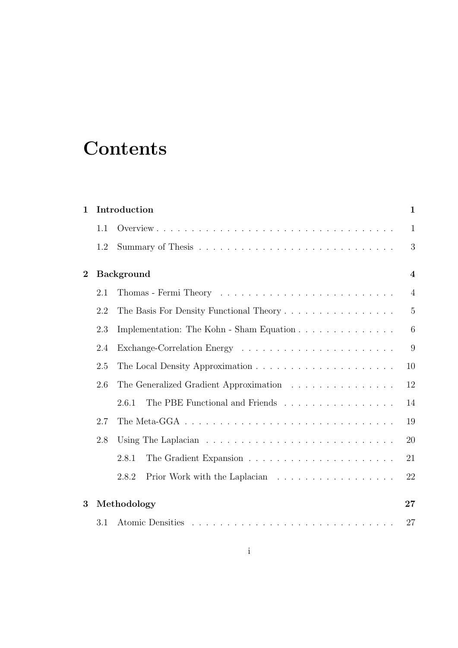# **Contents**

| $\mathbf{1}$   | Introduction      |                                                                                      | $\mathbf 1$     |
|----------------|-------------------|--------------------------------------------------------------------------------------|-----------------|
|                | 1.1               |                                                                                      | $\mathbf{1}$    |
|                | 1.2               |                                                                                      | 3               |
| $\overline{2}$ | <b>Background</b> |                                                                                      |                 |
|                | 2.1               |                                                                                      | $\overline{4}$  |
|                | 2.2               | The Basis For Density Functional Theory                                              | $\overline{5}$  |
|                | 2.3               | Implementation: The Kohn - Sham Equation                                             | $6\phantom{.}6$ |
|                | 2.4               |                                                                                      | 9               |
|                | 2.5               |                                                                                      | 10              |
|                | 2.6               | The Generalized Gradient Approximation                                               | 12              |
|                |                   | The PBE Functional and Friends<br>2.6.1                                              | 14              |
|                | 2.7               | The Meta-GGA $\ldots \ldots \ldots \ldots \ldots \ldots \ldots \ldots \ldots \ldots$ | 19              |
|                | 2.8               |                                                                                      | 20              |
|                |                   | 2.8.1                                                                                | 21              |
|                |                   | Prior Work with the Laplacian<br>2.8.2                                               | 22              |
| 3              |                   | Methodology                                                                          | 27              |
|                | 3.1               |                                                                                      | 27              |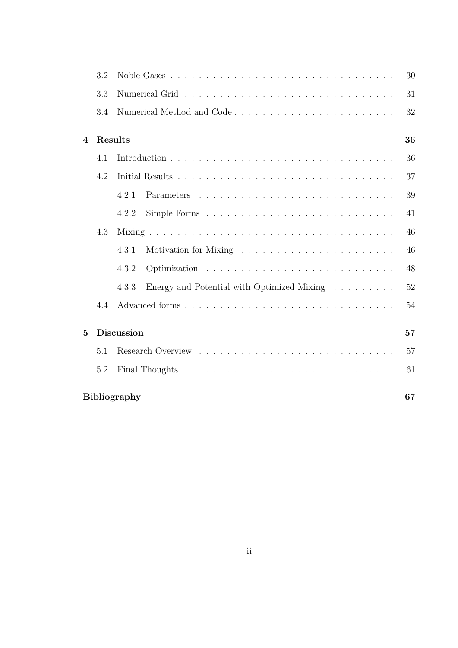|                           | 3.2 |                                                                                  | 30 |  |
|---------------------------|-----|----------------------------------------------------------------------------------|----|--|
|                           | 3.3 |                                                                                  | 31 |  |
|                           | 3.4 |                                                                                  | 32 |  |
| $\boldsymbol{\Lambda}$    |     | Results                                                                          | 36 |  |
|                           | 4.1 |                                                                                  | 36 |  |
|                           | 4.2 |                                                                                  | 37 |  |
|                           |     | 4.2.1                                                                            | 39 |  |
|                           |     | 4.2.2                                                                            | 41 |  |
|                           | 4.3 |                                                                                  | 46 |  |
|                           |     | 4.3.1<br>Motivation for Mixing $\dots \dots \dots \dots \dots \dots \dots \dots$ | 46 |  |
|                           |     | 4.3.2                                                                            | 48 |  |
|                           |     | 4.3.3<br>Energy and Potential with Optimized Mixing $\ldots \ldots$              | 52 |  |
|                           | 4.4 |                                                                                  | 54 |  |
| 5                         |     | <b>Discussion</b>                                                                | 57 |  |
|                           | 5.1 |                                                                                  | 57 |  |
|                           | 5.2 |                                                                                  | 61 |  |
| <b>Bibliography</b><br>67 |     |                                                                                  |    |  |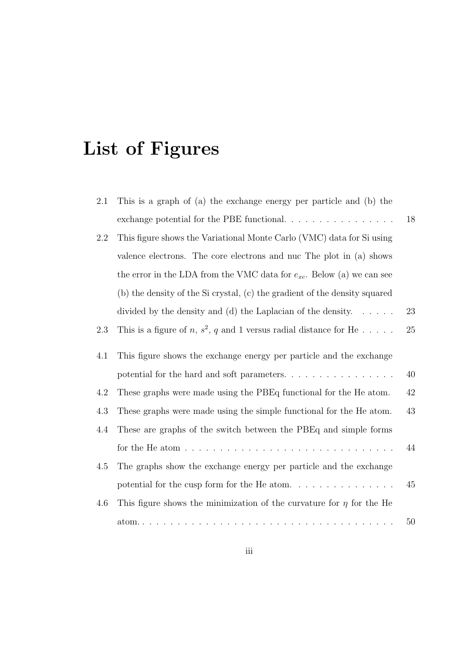# **List of Figures**

| 2.1 | This is a graph of (a) the exchange energy per particle and (b) the                     |        |
|-----|-----------------------------------------------------------------------------------------|--------|
|     | exchange potential for the PBE functional. $\ldots \ldots \ldots \ldots \ldots$         | 18     |
| 2.2 | This figure shows the Variational Monte Carlo (VMC) data for Si using                   |        |
|     | valence electrons. The core electrons and nuc The plot in (a) shows                     |        |
|     | the error in the LDA from the VMC data for $e_{xc}$ . Below (a) we can see              |        |
|     | (b) the density of the Si crystal, (c) the gradient of the density squared              |        |
|     | divided by the density and (d) the Laplacian of the density. $\dots$ .                  | 23     |
| 2.3 | This is a figure of n, $s^2$ , q and 1 versus radial distance for He                    | 25     |
| 4.1 | This figure shows the exchange energy per particle and the exchange                     |        |
|     | potential for the hard and soft parameters                                              | 40     |
| 4.2 | These graphs were made using the PBEq functional for the He atom.                       | $42\,$ |
| 4.3 | These graphs were made using the simple functional for the He atom.                     | 43     |
| 4.4 | These are graphs of the switch between the PBEq and simple forms                        |        |
|     | for the He atom $\ldots \ldots \ldots \ldots \ldots \ldots \ldots \ldots \ldots \ldots$ | 44     |
| 4.5 | The graphs show the exchange energy per particle and the exchange                       |        |
|     |                                                                                         | 45     |
| 4.6 | This figure shows the minimization of the curvature for $\eta$ for the He               |        |
|     |                                                                                         | $50\,$ |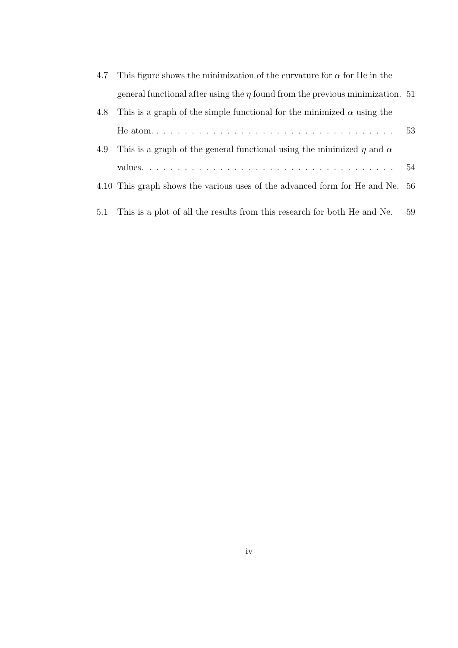|     | 4.7 This figure shows the minimization of the curvature for $\alpha$ for He in the |    |
|-----|------------------------------------------------------------------------------------|----|
|     | general functional after using the $\eta$ found from the previous minimization. 51 |    |
| 4.8 | This is a graph of the simple functional for the minimized $\alpha$ using the      |    |
|     |                                                                                    |    |
| 4.9 | This is a graph of the general functional using the minimized $\eta$ and $\alpha$  |    |
|     |                                                                                    |    |
|     | 4.10 This graph shows the various uses of the advanced form for He and Ne. 56      |    |
|     | 5.1 This is a plot of all the results from this research for both He and Ne.       | 59 |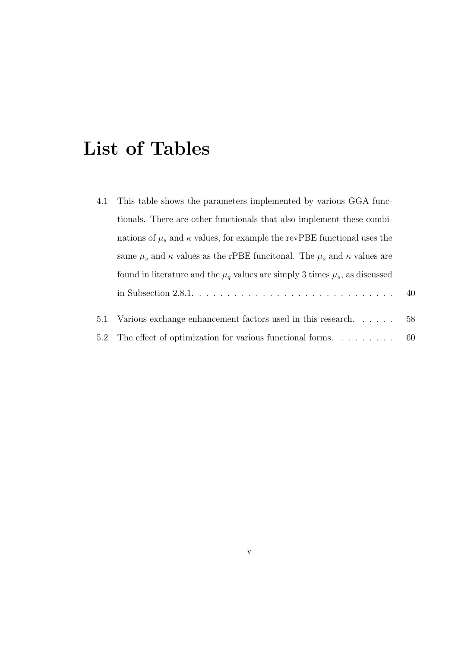# **List of Tables**

|     | 4.1 This table shows the parameters implemented by various GGA func-                         |    |
|-----|----------------------------------------------------------------------------------------------|----|
|     | tionals. There are other functionals that also implement these combi-                        |    |
|     | nations of $\mu_s$ and $\kappa$ values, for example the revPBE functional uses the           |    |
|     | same $\mu_s$ and $\kappa$ values as the rPBE funcitonal. The $\mu_s$ and $\kappa$ values are |    |
|     | found in literature and the $\mu_q$ values are simply 3 times $\mu_s$ , as discussed         |    |
|     | in Subsection $2.8.1. \ldots \ldots \ldots \ldots \ldots \ldots \ldots \ldots \ldots \ldots$ | 40 |
| 5.1 | Various exchange enhancement factors used in this research                                   | 58 |
|     | 5.2 The effect of optimization for various functional forms                                  | 60 |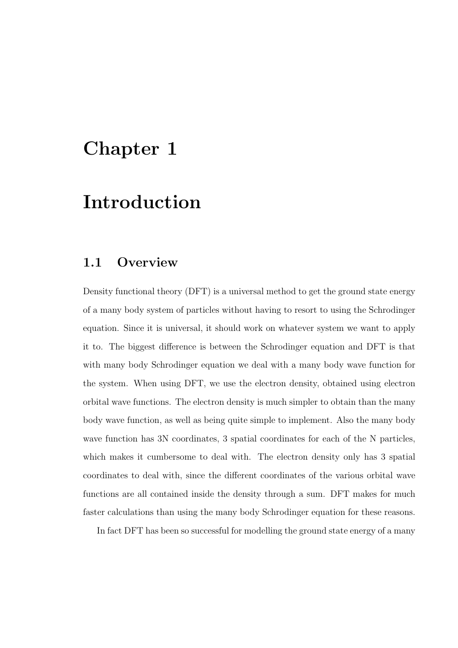### **Chapter 1**

## **Introduction**

#### **1.1 Overview**

Density functional theory (DFT) is a universal method to get the ground state energy of a many body system of particles without having to resort to using the Schrodinger equation. Since it is universal, it should work on whatever system we want to apply it to. The biggest difference is between the Schrodinger equation and DFT is that with many body Schrodinger equation we deal with a many body wave function for the system. When using DFT, we use the electron density, obtained using electron orbital wave functions. The electron density is much simpler to obtain than the many body wave function, as well as being quite simple to implement. Also the many body wave function has 3N coordinates, 3 spatial coordinates for each of the N particles, which makes it cumbersome to deal with. The electron density only has 3 spatial coordinates to deal with, since the different coordinates of the various orbital wave functions are all contained inside the density through a sum. DFT makes for much faster calculations than using the many body Schrodinger equation for these reasons.

In fact DFT has been so successful for modelling the ground state energy of a many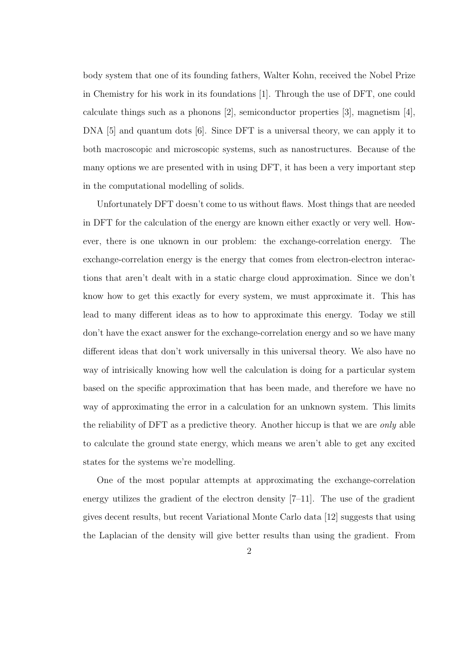body system that one of its founding fathers, Walter Kohn, received the Nobel Prize in Chemistry for his work in its foundations [1]. Through the use of DFT, one could calculate things such as a phonons [2], semiconductor properties [3], magnetism [4], DNA [5] and quantum dots [6]. Since DFT is a universal theory, we can apply it to both macroscopic and microscopic systems, such as nanostructures. Because of the many options we are presented with in using DFT, it has been a very important step in the computational modelling of solids.

Unfortunately DFT doesn't come to us without flaws. Most things that are needed in DFT for the calculation of the energy are known either exactly or very well. However, there is one uknown in our problem: the exchange-correlation energy. The exchange-correlation energy is the energy that comes from electron-electron interactions that aren't dealt with in a static charge cloud approximation. Since we don't know how to get this exactly for every system, we must approximate it. This has lead to many different ideas as to how to approximate this energy. Today we still don't have the exact answer for the exchange-correlation energy and so we have many different ideas that don't work universally in this universal theory. We also have no way of intrisically knowing how well the calculation is doing for a particular system based on the specific approximation that has been made, and therefore we have no way of approximating the error in a calculation for an unknown system. This limits the reliability of DFT as a predictive theory. Another hiccup is that we are *only* able to calculate the ground state energy, which means we aren't able to get any excited states for the systems we're modelling.

One of the most popular attempts at approximating the exchange-correlation energy utilizes the gradient of the electron density [7–11]. The use of the gradient gives decent results, but recent Variational Monte Carlo data [12] suggests that using the Laplacian of the density will give better results than using the gradient. From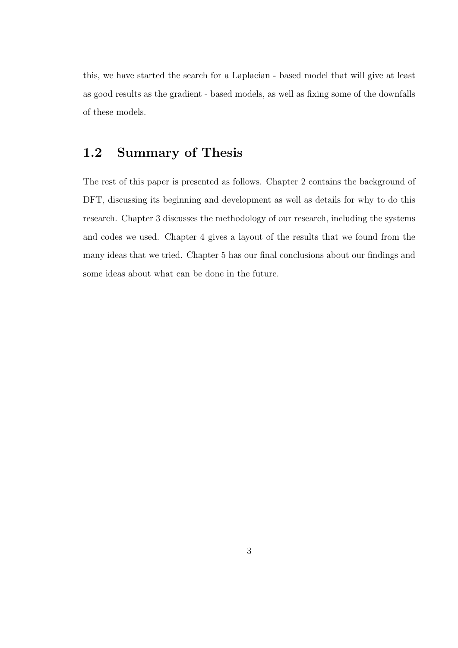this, we have started the search for a Laplacian - based model that will give at least as good results as the gradient - based models, as well as fixing some of the downfalls of these models.

### **1.2 Summary of Thesis**

The rest of this paper is presented as follows. Chapter 2 contains the background of DFT, discussing its beginning and development as well as details for why to do this research. Chapter 3 discusses the methodology of our research, including the systems and codes we used. Chapter 4 gives a layout of the results that we found from the many ideas that we tried. Chapter 5 has our final conclusions about our findings and some ideas about what can be done in the future.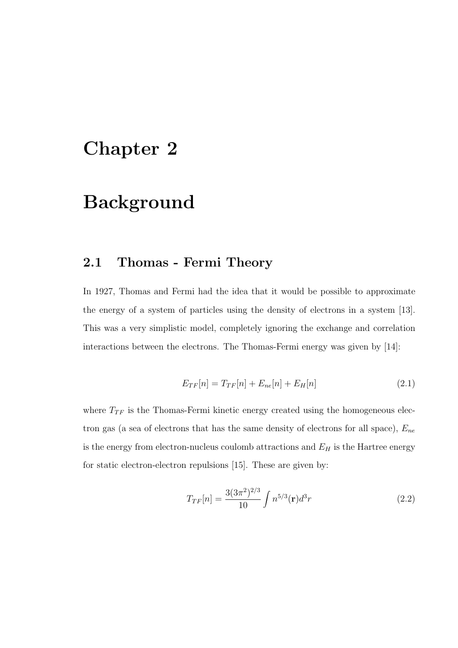### **Chapter 2**

## **Background**

### **2.1 Thomas - Fermi Theory**

In 1927, Thomas and Fermi had the idea that it would be possible to approximate the energy of a system of particles using the density of electrons in a system [13]. This was a very simplistic model, completely ignoring the exchange and correlation interactions between the electrons. The Thomas-Fermi energy was given by [14]:

$$
E_{TF}[n] = T_{TF}[n] + E_{ne}[n] + E_H[n] \tag{2.1}
$$

where  $T_{TF}$  is the Thomas-Fermi kinetic energy created using the homogeneous electron gas (a sea of electrons that has the same density of electrons for all space), *Ene* is the energy from electron-nucleus coulomb attractions and  $E_H$  is the Hartree energy for static electron-electron repulsions [15]. These are given by:

$$
T_{TF}[n] = \frac{3(3\pi^2)^{2/3}}{10} \int n^{5/3}(\mathbf{r})d^3r
$$
 (2.2)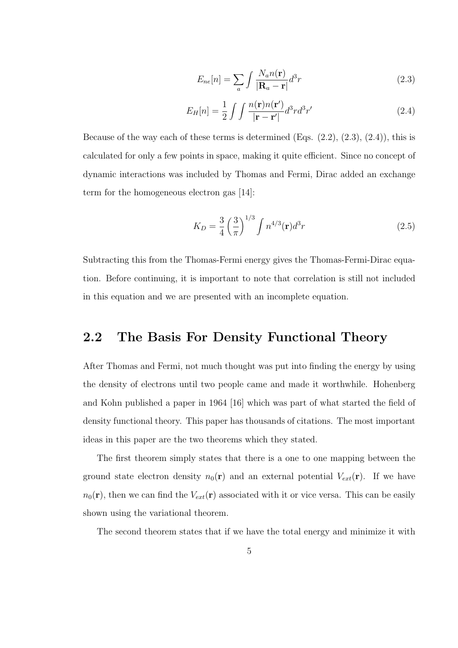$$
E_{ne}[n] = \sum_{a} \int \frac{N_a n(\mathbf{r})}{|\mathbf{R}_a - \mathbf{r}|} d^3 r \tag{2.3}
$$

$$
E_H[n] = \frac{1}{2} \int \int \frac{n(\mathbf{r})n(\mathbf{r}')}{|\mathbf{r} - \mathbf{r}'|} d^3r d^3r'
$$
 (2.4)

Because of the way each of these terms is determined  $(Eqs. (2.2), (2.3), (2.4))$ , this is calculated for only a few points in space, making it quite efficient. Since no concept of dynamic interactions was included by Thomas and Fermi, Dirac added an exchange term for the homogeneous electron gas [14]:

$$
K_D = \frac{3}{4} \left(\frac{3}{\pi}\right)^{1/3} \int n^{4/3}(\mathbf{r}) d^3 r \tag{2.5}
$$

Subtracting this from the Thomas-Fermi energy gives the Thomas-Fermi-Dirac equation. Before continuing, it is important to note that correlation is still not included in this equation and we are presented with an incomplete equation.

#### **2.2 The Basis For Density Functional Theory**

After Thomas and Fermi, not much thought was put into finding the energy by using the density of electrons until two people came and made it worthwhile. Hohenberg and Kohn published a paper in 1964 [16] which was part of what started the field of density functional theory. This paper has thousands of citations. The most important ideas in this paper are the two theorems which they stated.

The first theorem simply states that there is a one to one mapping between the ground state electron density  $n_0(\mathbf{r})$  and an external potential  $V_{ext}(\mathbf{r})$ . If we have  $n_0(\mathbf{r})$ , then we can find the  $V_{ext}(\mathbf{r})$  associated with it or vice versa. This can be easily shown using the variational theorem.

The second theorem states that if we have the total energy and minimize it with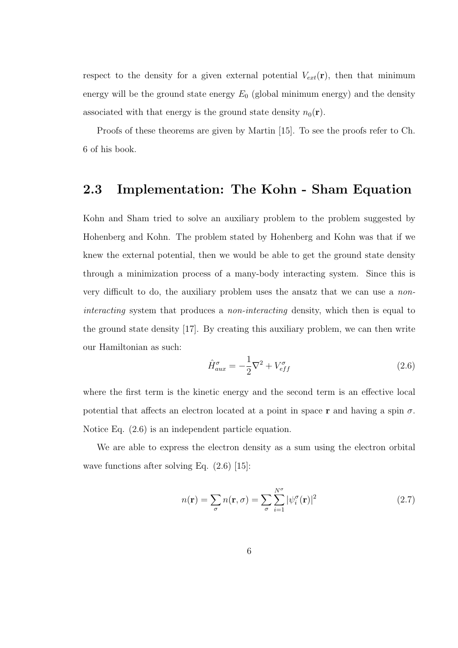respect to the density for a given external potential  $V_{ext}(\mathbf{r})$ , then that minimum energy will be the ground state energy  $E_0$  (global minimum energy) and the density associated with that energy is the ground state density  $n_0(\mathbf{r})$ .

Proofs of these theorems are given by Martin [15]. To see the proofs refer to Ch. 6 of his book.

#### **2.3 Implementation: The Kohn - Sham Equation**

Kohn and Sham tried to solve an auxiliary problem to the problem suggested by Hohenberg and Kohn. The problem stated by Hohenberg and Kohn was that if we knew the external potential, then we would be able to get the ground state density through a minimization process of a many-body interacting system. Since this is very difficult to do, the auxiliary problem uses the ansatz that we can use a *noninteracting* system that produces a *non-interacting* density, which then is equal to the ground state density [17]. By creating this auxiliary problem, we can then write our Hamiltonian as such:

$$
\hat{H}_{aux}^{\sigma} = -\frac{1}{2}\nabla^2 + V_{eff}^{\sigma} \tag{2.6}
$$

where the first term is the kinetic energy and the second term is an effective local potential that affects an electron located at a point in space **r** and having a spin  $\sigma$ . Notice Eq. (2.6) is an independent particle equation.

We are able to express the electron density as a sum using the electron orbital wave functions after solving Eq.  $(2.6)$  [15]:

$$
n(\mathbf{r}) = \sum_{\sigma} n(\mathbf{r}, \sigma) = \sum_{\sigma} \sum_{i=1}^{N^{\sigma}} |\psi_i^{\sigma}(\mathbf{r})|^2
$$
 (2.7)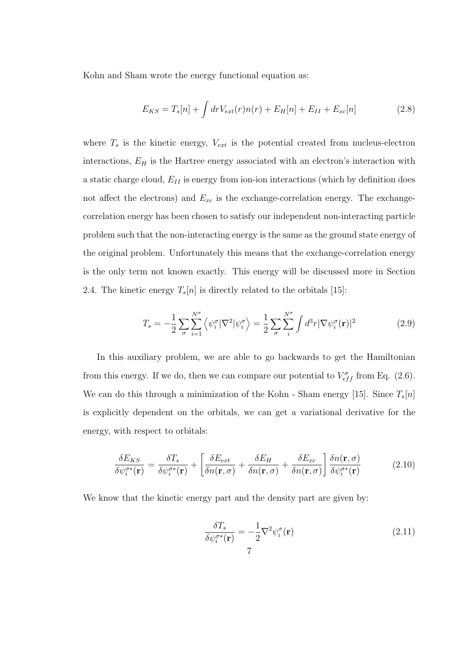Kohn and Sham wrote the energy functional equation as:

$$
E_{KS} = T_s[n] + \int dr V_{ext}(r)n(r) + E_H[n] + E_{II} + E_{xc}[n]
$$
\n(2.8)

where  $T_s$  is the kinetic energy,  $V_{ext}$  is the potential created from nucleus-electron interactions, *E<sup>H</sup>* is the Hartree energy associated with an electron's interaction with a static charge cloud, *EII* is energy from ion-ion interactions (which by definition does not affect the electrons) and  $E_{xc}$  is the exchange-correlation energy. The exchangecorrelation energy has been chosen to satisfy our independent non-interacting particle problem such that the non-interacting energy is the same as the ground state energy of the original problem. Unfortunately this means that the exchange-correlation energy is the only term not known exactly. This energy will be discussed more in Section 2.4. The kinetic energy  $T_s[n]$  is directly related to the orbitals [15]:

$$
T_s = -\frac{1}{2} \sum_{\sigma} \sum_{i=1}^{N^{\sigma}} \left\langle \psi_i^{\sigma} |\nabla^2 | \psi_i^{\sigma} \right\rangle = \frac{1}{2} \sum_{\sigma} \sum_{i}^{N^{\sigma}} \int d^3 r |\nabla \psi_i^{\sigma}(\mathbf{r})|^2 \tag{2.9}
$$

In this auxiliary problem, we are able to go backwards to get the Hamiltonian from this energy. If we do, then we can compare our potential to  $V_{eff}^{\sigma}$  from Eq. (2.6). We can do this through a minimization of the Kohn - Sham energy [15]. Since *Ts*[*n*] is explicitly dependent on the orbitals, we can get a variational derivative for the energy, with respect to orbitals:

$$
\frac{\delta E_{KS}}{\delta \psi_i^{\sigma *}(\mathbf{r})} = \frac{\delta T_s}{\delta \psi_i^{\sigma *}(\mathbf{r})} + \left[ \frac{\delta E_{ext}}{\delta n(\mathbf{r}, \sigma)} + \frac{\delta E_H}{\delta n(\mathbf{r}, \sigma)} + \frac{\delta E_{xc}}{\delta n(\mathbf{r}, \sigma)} \right] \frac{\delta n(\mathbf{r}, \sigma)}{\delta \psi_i^{\sigma *}(\mathbf{r})}
$$
(2.10)

We know that the kinetic energy part and the density part are given by:

$$
\frac{\delta T_s}{\delta \psi_i^{\sigma *}(\mathbf{r})} = -\frac{1}{2} \nabla^2 \psi_i^{\sigma}(\mathbf{r})
$$
\n(2.11)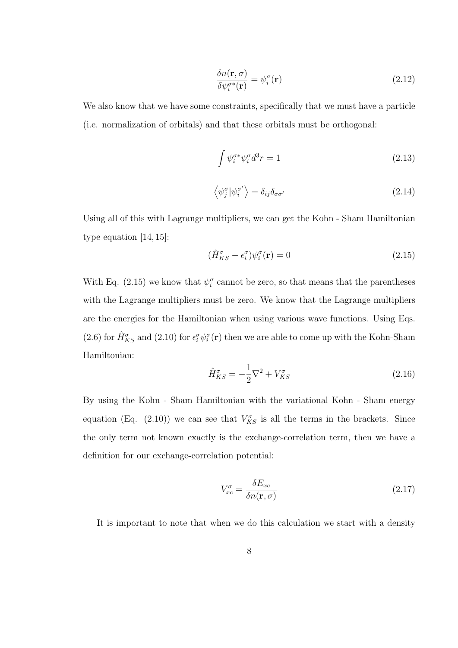$$
\frac{\delta n(\mathbf{r}, \sigma)}{\delta \psi_i^{\sigma*}(\mathbf{r})} = \psi_i^{\sigma}(\mathbf{r})
$$
\n(2.12)

We also know that we have some constraints, specifically that we must have a particle (i.e. normalization of orbitals) and that these orbitals must be orthogonal:

$$
\int \psi_i^{\sigma *} \psi_i^{\sigma} d^3 r = 1 \tag{2.13}
$$

$$
\left\langle \psi_j^{\sigma} | \psi_i^{\sigma'} \right\rangle = \delta_{ij} \delta_{\sigma \sigma'} \tag{2.14}
$$

Using all of this with Lagrange multipliers, we can get the Kohn - Sham Hamiltonian type equation [14, 15]:

$$
(\hat{H}^{\sigma}_{KS} - \epsilon^{\sigma}_i)\psi^{\sigma}_i(\mathbf{r}) = 0
$$
\n(2.15)

With Eq. (2.15) we know that  $\psi_i^{\sigma}$  cannot be zero, so that means that the parentheses with the Lagrange multipliers must be zero. We know that the Lagrange multipliers are the energies for the Hamiltonian when using various wave functions. Using Eqs. (2.6) for  $\hat{H}^{\sigma}_{KS}$  and (2.10) for  $\epsilon_i^{\sigma}\psi_i^{\sigma}(\mathbf{r})$  then we are able to come up with the Kohn-Sham Hamiltonian:

$$
\hat{H}^{\sigma}_{KS} = -\frac{1}{2}\nabla^2 + V^{\sigma}_{KS} \tag{2.16}
$$

By using the Kohn - Sham Hamiltonian with the variational Kohn - Sham energy equation (Eq. (2.10)) we can see that  $V_{KS}^{\sigma}$  is all the terms in the brackets. Since the only term not known exactly is the exchange-correlation term, then we have a definition for our exchange-correlation potential:

$$
V_{xc}^{\sigma} = \frac{\delta E_{xc}}{\delta n(\mathbf{r}, \sigma)}
$$
\n(2.17)

It is important to note that when we do this calculation we start with a density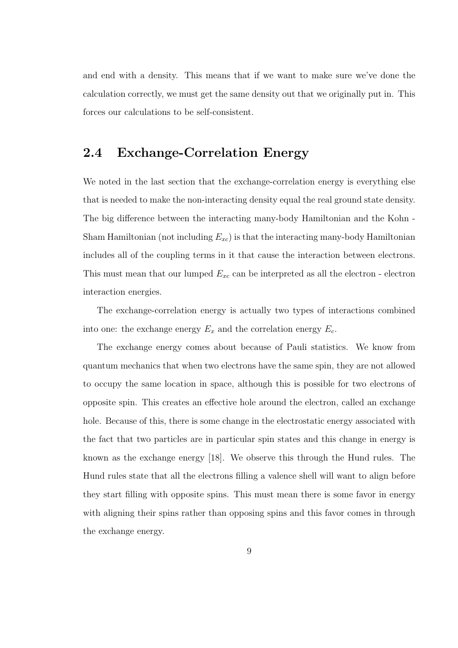and end with a density. This means that if we want to make sure we've done the calculation correctly, we must get the same density out that we originally put in. This forces our calculations to be self-consistent.

### **2.4 Exchange-Correlation Energy**

We noted in the last section that the exchange-correlation energy is everything else that is needed to make the non-interacting density equal the real ground state density. The big difference between the interacting many-body Hamiltonian and the Kohn - Sham Hamiltonian (not including *Exc*) is that the interacting many-body Hamiltonian includes all of the coupling terms in it that cause the interaction between electrons. This must mean that our lumped *Exc* can be interpreted as all the electron - electron interaction energies.

The exchange-correlation energy is actually two types of interactions combined into one: the exchange energy  $E_x$  and the correlation energy  $E_c$ .

The exchange energy comes about because of Pauli statistics. We know from quantum mechanics that when two electrons have the same spin, they are not allowed to occupy the same location in space, although this is possible for two electrons of opposite spin. This creates an effective hole around the electron, called an exchange hole. Because of this, there is some change in the electrostatic energy associated with the fact that two particles are in particular spin states and this change in energy is known as the exchange energy [18]. We observe this through the Hund rules. The Hund rules state that all the electrons filling a valence shell will want to align before they start filling with opposite spins. This must mean there is some favor in energy with aligning their spins rather than opposing spins and this favor comes in through the exchange energy.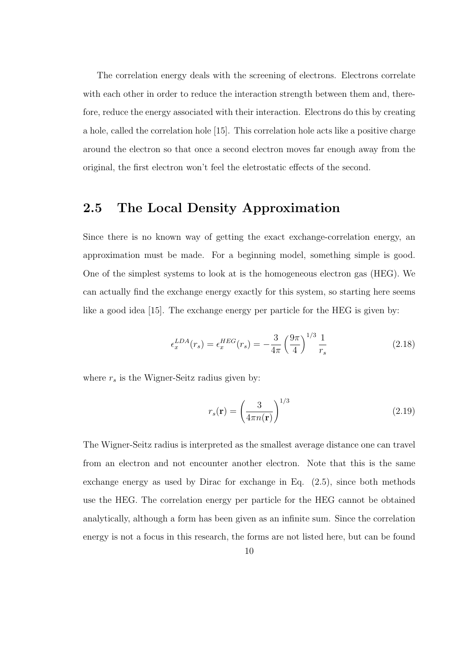The correlation energy deals with the screening of electrons. Electrons correlate with each other in order to reduce the interaction strength between them and, therefore, reduce the energy associated with their interaction. Electrons do this by creating a hole, called the correlation hole [15]. This correlation hole acts like a positive charge around the electron so that once a second electron moves far enough away from the original, the first electron won't feel the eletrostatic effects of the second.

### **2.5 The Local Density Approximation**

Since there is no known way of getting the exact exchange-correlation energy, an approximation must be made. For a beginning model, something simple is good. One of the simplest systems to look at is the homogeneous electron gas (HEG). We can actually find the exchange energy exactly for this system, so starting here seems like a good idea [15]. The exchange energy per particle for the HEG is given by:

$$
\epsilon_x^{LDA}(r_s) = \epsilon_x^{HEG}(r_s) = -\frac{3}{4\pi} \left(\frac{9\pi}{4}\right)^{1/3} \frac{1}{r_s}
$$
 (2.18)

where  $r_s$  is the Wigner-Seitz radius given by:

$$
r_s(\mathbf{r}) = \left(\frac{3}{4\pi n(\mathbf{r})}\right)^{1/3} \tag{2.19}
$$

The Wigner-Seitz radius is interpreted as the smallest average distance one can travel from an electron and not encounter another electron. Note that this is the same exchange energy as used by Dirac for exchange in Eq. (2.5), since both methods use the HEG. The correlation energy per particle for the HEG cannot be obtained analytically, although a form has been given as an infinite sum. Since the correlation energy is not a focus in this research, the forms are not listed here, but can be found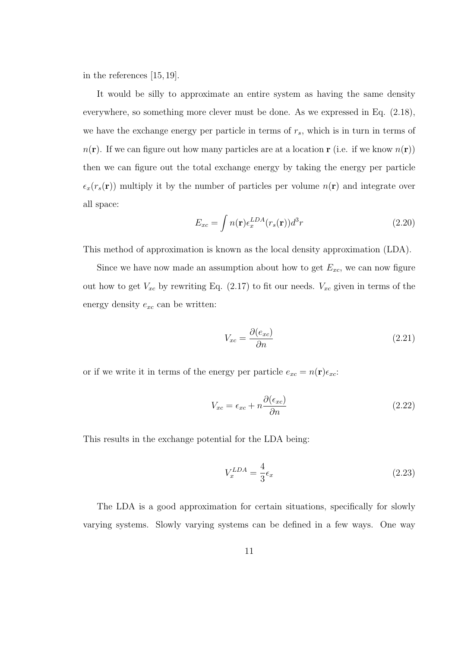in the references [15, 19].

It would be silly to approximate an entire system as having the same density everywhere, so something more clever must be done. As we expressed in Eq. (2.18), we have the exchange energy per particle in terms of *rs*, which is in turn in terms of  $n(\mathbf{r})$ . If we can figure out how many particles are at a location **r** (i.e. if we know  $n(\mathbf{r})$ ) then we can figure out the total exchange energy by taking the energy per particle  $\epsilon_x(r_s(\mathbf{r}))$  multiply it by the number of particles per volume  $n(\mathbf{r})$  and integrate over all space:

$$
E_{xc} = \int n(\mathbf{r}) \epsilon_x^{LDA}(r_s(\mathbf{r})) d^3r \tag{2.20}
$$

This method of approximation is known as the local density approximation (LDA).

Since we have now made an assumption about how to get  $E_{xc}$ , we can now figure out how to get  $V_{xc}$  by rewriting Eq. (2.17) to fit our needs.  $V_{xc}$  given in terms of the energy density *exc* can be written:

$$
V_{xc} = \frac{\partial (e_{xc})}{\partial n} \tag{2.21}
$$

or if we write it in terms of the energy per particle  $e_{xc} = n(\mathbf{r})\epsilon_{xc}$ :

$$
V_{xc} = \epsilon_{xc} + n \frac{\partial(\epsilon_{xc})}{\partial n} \tag{2.22}
$$

This results in the exchange potential for the LDA being:

$$
V_x^{LDA} = \frac{4}{3}\epsilon_x \tag{2.23}
$$

The LDA is a good approximation for certain situations, specifically for slowly varying systems. Slowly varying systems can be defined in a few ways. One way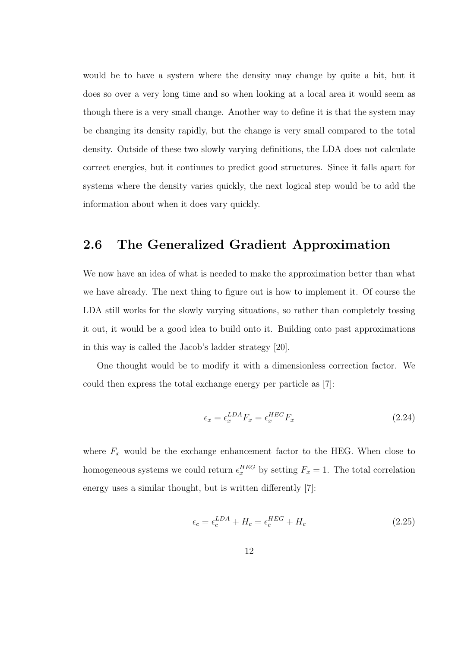would be to have a system where the density may change by quite a bit, but it does so over a very long time and so when looking at a local area it would seem as though there is a very small change. Another way to define it is that the system may be changing its density rapidly, but the change is very small compared to the total density. Outside of these two slowly varying definitions, the LDA does not calculate correct energies, but it continues to predict good structures. Since it falls apart for systems where the density varies quickly, the next logical step would be to add the information about when it does vary quickly.

#### **2.6 The Generalized Gradient Approximation**

We now have an idea of what is needed to make the approximation better than what we have already. The next thing to figure out is how to implement it. Of course the LDA still works for the slowly varying situations, so rather than completely tossing it out, it would be a good idea to build onto it. Building onto past approximations in this way is called the Jacob's ladder strategy [20].

One thought would be to modify it with a dimensionless correction factor. We could then express the total exchange energy per particle as [7]:

$$
\epsilon_x = \epsilon_x^{LDA} F_x = \epsilon_x^{HEG} F_x \tag{2.24}
$$

where  $F_x$  would be the exchange enhancement factor to the HEG. When close to homogeneous systems we could return  $\epsilon_x^{HEG}$  by setting  $F_x = 1$ . The total correlation energy uses a similar thought, but is written differently [7]:

$$
\epsilon_c = \epsilon_c^{LDA} + H_c = \epsilon_c^{HEG} + H_c \tag{2.25}
$$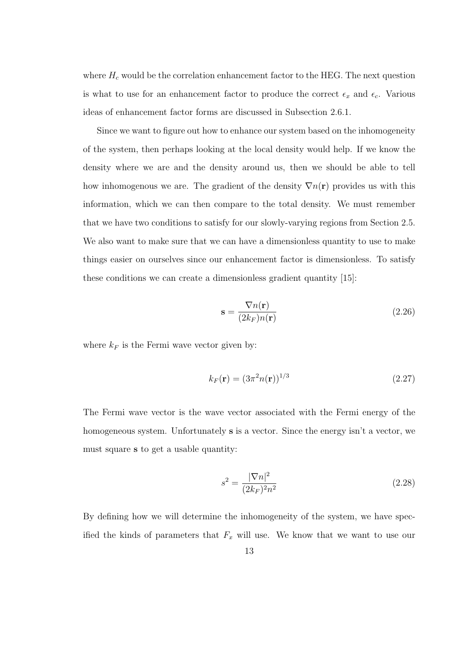where  $H_c$  would be the correlation enhancement factor to the HEG. The next question is what to use for an enhancement factor to produce the correct  $\epsilon_x$  and  $\epsilon_c$ . Various ideas of enhancement factor forms are discussed in Subsection 2.6.1.

Since we want to figure out how to enhance our system based on the inhomogeneity of the system, then perhaps looking at the local density would help. If we know the density where we are and the density around us, then we should be able to tell how inhomogenous we are. The gradient of the density  $\nabla n(\mathbf{r})$  provides us with this information, which we can then compare to the total density. We must remember that we have two conditions to satisfy for our slowly-varying regions from Section 2.5. We also want to make sure that we can have a dimensionless quantity to use to make things easier on ourselves since our enhancement factor is dimensionless. To satisfy these conditions we can create a dimensionless gradient quantity [15]:

$$
\mathbf{s} = \frac{\nabla n(\mathbf{r})}{(2k_F)n(\mathbf{r})}
$$
(2.26)

where  $k_F$  is the Fermi wave vector given by:

$$
k_F(\mathbf{r}) = (3\pi^2 n(\mathbf{r}))^{1/3} \tag{2.27}
$$

The Fermi wave vector is the wave vector associated with the Fermi energy of the homogeneous system. Unfortunately **s** is a vector. Since the energy isn't a vector, we must square **s** to get a usable quantity:

$$
s^2 = \frac{|\nabla n|^2}{(2k_F)^2 n^2} \tag{2.28}
$$

By defining how we will determine the inhomogeneity of the system, we have specified the kinds of parameters that  $F_x$  will use. We know that we want to use our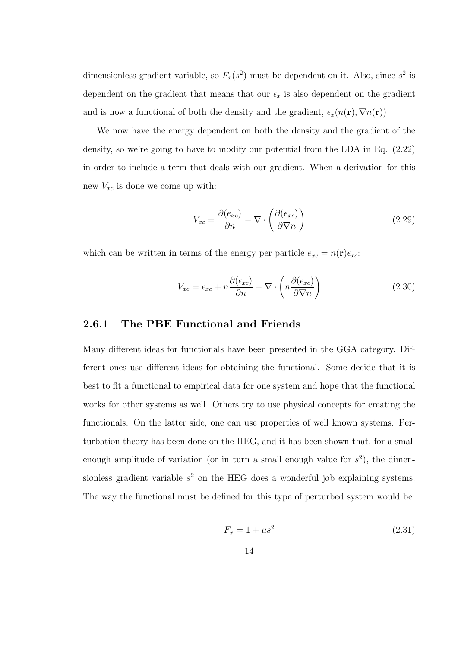dimensionless gradient variable, so  $F_x(s^2)$  must be dependent on it. Also, since  $s^2$  is dependent on the gradient that means that our  $\epsilon_x$  is also dependent on the gradient and is now a functional of both the density and the gradient,  $\epsilon_x(n(\mathbf{r}), \nabla n(\mathbf{r}))$ 

We now have the energy dependent on both the density and the gradient of the density, so we're going to have to modify our potential from the LDA in Eq. (2.22) in order to include a term that deals with our gradient. When a derivation for this new  $V_{xc}$  is done we come up with:

$$
V_{xc} = \frac{\partial(e_{xc})}{\partial n} - \nabla \cdot \left(\frac{\partial(e_{xc})}{\partial \nabla n}\right)
$$
 (2.29)

which can be written in terms of the energy per particle  $e_{xc} = n(\mathbf{r})\epsilon_{xc}$ :

$$
V_{xc} = \epsilon_{xc} + n \frac{\partial(\epsilon_{xc})}{\partial n} - \nabla \cdot \left( n \frac{\partial(\epsilon_{xc})}{\partial \nabla n} \right)
$$
 (2.30)

#### **2.6.1 The PBE Functional and Friends**

Many different ideas for functionals have been presented in the GGA category. Different ones use different ideas for obtaining the functional. Some decide that it is best to fit a functional to empirical data for one system and hope that the functional works for other systems as well. Others try to use physical concepts for creating the functionals. On the latter side, one can use properties of well known systems. Perturbation theory has been done on the HEG, and it has been shown that, for a small enough amplitude of variation (or in turn a small enough value for  $s^2$ ), the dimensionless gradient variable *s* <sup>2</sup> on the HEG does a wonderful job explaining systems. The way the functional must be defined for this type of perturbed system would be:

$$
F_x = 1 + \mu s^2 \tag{2.31}
$$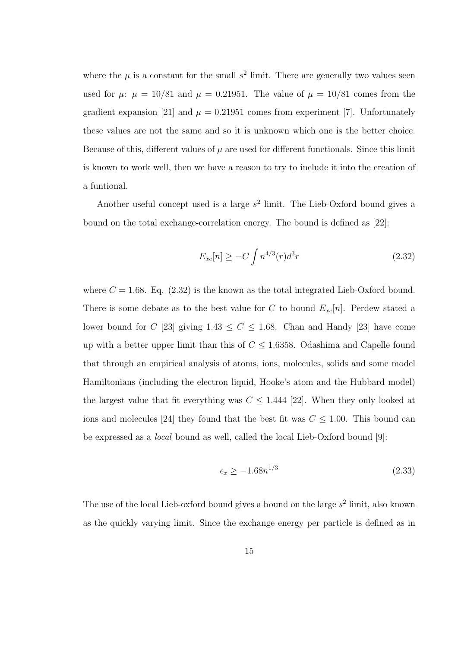where the  $\mu$  is a constant for the small  $s^2$  limit. There are generally two values seen used for  $\mu$ :  $\mu = 10/81$  and  $\mu = 0.21951$ . The value of  $\mu = 10/81$  comes from the gradient expansion [21] and  $\mu = 0.21951$  comes from experiment [7]. Unfortunately these values are not the same and so it is unknown which one is the better choice. Because of this, different values of  $\mu$  are used for different functionals. Since this limit is known to work well, then we have a reason to try to include it into the creation of a funtional.

Another useful concept used is a large *s* 2 limit. The Lieb-Oxford bound gives a bound on the total exchange-correlation energy. The bound is defined as [22]:

$$
E_{xc}[n] \ge -C \int n^{4/3}(r) d^3r \tag{2.32}
$$

where  $C = 1.68$ . Eq.  $(2.32)$  is the known as the total integrated Lieb-Oxford bound. There is some debate as to the best value for *C* to bound  $E_{xc}[n]$ . Perdew stated a lower bound for *C* [23] giving  $1.43 \le C \le 1.68$ . Chan and Handy [23] have come up with a better upper limit than this of  $C \leq 1.6358$ . Odashima and Capelle found that through an empirical analysis of atoms, ions, molecules, solids and some model Hamiltonians (including the electron liquid, Hooke's atom and the Hubbard model) the largest value that fit everything was  $C \leq 1.444$  [22]. When they only looked at ions and molecules [24] they found that the best fit was  $C \leq 1.00$ . This bound can be expressed as a *local* bound as well, called the local Lieb-Oxford bound [9]:

$$
\epsilon_x \ge -1.68n^{1/3} \tag{2.33}
$$

The use of the local Lieb-oxford bound gives a bound on the large *s* 2 limit, also known as the quickly varying limit. Since the exchange energy per particle is defined as in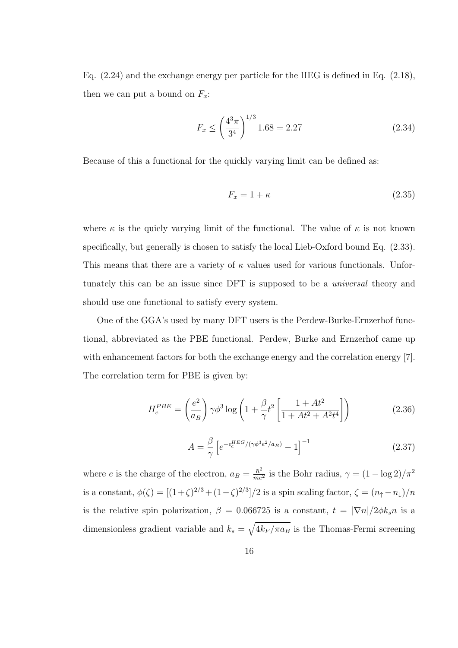Eq. (2.24) and the exchange energy per particle for the HEG is defined in Eq. (2.18), then we can put a bound on  $F_x$ :

$$
F_x \le \left(\frac{4^3 \pi}{3^4}\right)^{1/3} 1.68 = 2.27\tag{2.34}
$$

Because of this a functional for the quickly varying limit can be defined as:

$$
F_x = 1 + \kappa \tag{2.35}
$$

where  $\kappa$  is the quicly varying limit of the functional. The value of  $\kappa$  is not known specifically, but generally is chosen to satisfy the local Lieb-Oxford bound Eq.  $(2.33)$ . This means that there are a variety of *κ* values used for various functionals. Unfortunately this can be an issue since DFT is supposed to be a *universal* theory and should use one functional to satisfy every system.

One of the GGA's used by many DFT users is the Perdew-Burke-Ernzerhof functional, abbreviated as the PBE functional. Perdew, Burke and Ernzerhof came up with enhancement factors for both the exchange energy and the correlation energy [7]. The correlation term for PBE is given by:

$$
H_c^{PBE} = \left(\frac{e^2}{a_B}\right) \gamma \phi^3 \log \left(1 + \frac{\beta}{\gamma} t^2 \left[\frac{1 + At^2}{1 + At^2 + A^2 t^4}\right]\right) \tag{2.36}
$$

$$
A = \frac{\beta}{\gamma} \left[ e^{-\epsilon_c^{HEG}/(\gamma \phi^3 e^2/a_B)} - 1 \right]^{-1}
$$
 (2.37)

where *e* is the charge of the electron,  $a_B = \frac{\hbar^2}{me}$  $\frac{\hbar^2}{me^2}$  is the Bohr radius,  $\gamma = (1 - \log 2)/\pi^2$ is a constant,  $\phi(\zeta) = \left[ (1+\zeta)^{2/3} + (1-\zeta)^{2/3} \right] / 2$  is a spin scaling factor,  $\zeta = (n_{\uparrow} - n_{\downarrow}) / n$ is the relative spin polarization,  $\beta = 0.066725$  is a constant,  $t = |\nabla n|/2\phi k_s n$  is a dimensionless gradient variable and  $k_s = \sqrt{4k_F/\pi a_B}$  is the Thomas-Fermi screening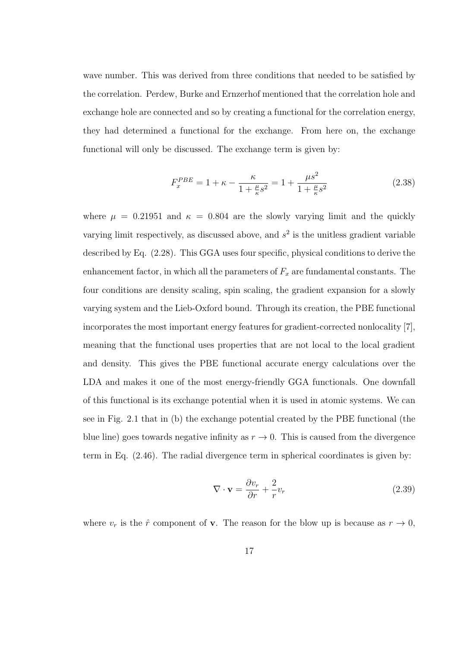wave number. This was derived from three conditions that needed to be satisfied by the correlation. Perdew, Burke and Ernzerhof mentioned that the correlation hole and exchange hole are connected and so by creating a functional for the correlation energy, they had determined a functional for the exchange. From here on, the exchange functional will only be discussed. The exchange term is given by:

$$
F_x^{PBE} = 1 + \kappa - \frac{\kappa}{1 + \frac{\mu}{\kappa}s^2} = 1 + \frac{\mu s^2}{1 + \frac{\mu}{\kappa}s^2}
$$
 (2.38)

where  $\mu = 0.21951$  and  $\kappa = 0.804$  are the slowly varying limit and the quickly varying limit respectively, as discussed above, and  $s<sup>2</sup>$  is the unitless gradient variable described by Eq. (2.28). This GGA uses four specific, physical conditions to derive the enhancement factor, in which all the parameters of  $F_x$  are fundamental constants. The four conditions are density scaling, spin scaling, the gradient expansion for a slowly varying system and the Lieb-Oxford bound. Through its creation, the PBE functional incorporates the most important energy features for gradient-corrected nonlocality [7], meaning that the functional uses properties that are not local to the local gradient and density. This gives the PBE functional accurate energy calculations over the LDA and makes it one of the most energy-friendly GGA functionals. One downfall of this functional is its exchange potential when it is used in atomic systems. We can see in Fig. 2.1 that in (b) the exchange potential created by the PBE functional (the blue line) goes towards negative infinity as  $r \to 0$ . This is caused from the divergence term in Eq. (2.46). The radial divergence term in spherical coordinates is given by:

$$
\nabla \cdot \mathbf{v} = \frac{\partial v_r}{\partial r} + \frac{2}{r} v_r \tag{2.39}
$$

where  $v_r$  is the  $\hat{r}$  component of **v**. The reason for the blow up is because as  $r \to 0$ ,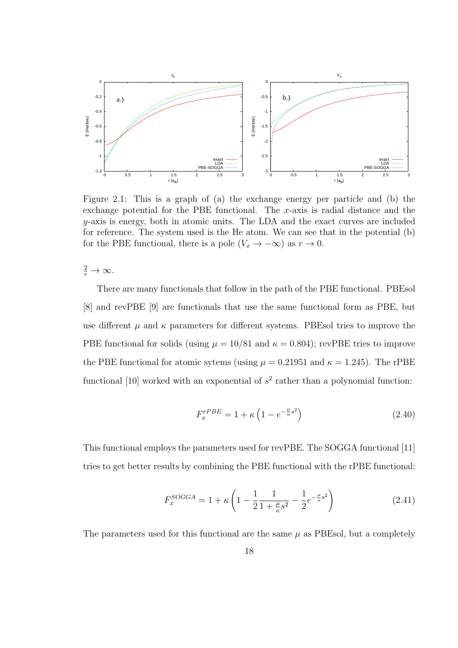

Figure 2.1: This is a graph of (a) the exchange energy per particle and (b) the exchange potential for the PBE functional. The *x*-axis is radial distance and the *y*-axis is energy, both in atomic units. The LDA and the exact curves are included for reference. The system used is the He atom. We can see that in the potential (b) for the PBE functional, there is a pole  $(V_x \to -\infty)$  as  $r \to 0$ .

 $\frac{2}{r} \to \infty$ .

There are many functionals that follow in the path of the PBE functional. PBEsol [8] and revPBE [9] are functionals that use the same functional form as PBE, but use different  $\mu$  and  $\kappa$  parameters for different systems. PBEsol tries to improve the PBE functional for solids (using  $\mu = 10/81$  and  $\kappa = 0.804$ ); revPBE tries to improve the PBE functional for atomic sytems (using  $\mu = 0.21951$  and  $\kappa = 1.245$ ). The rPBE functional  $[10]$  worked with an exponential of  $s<sup>2</sup>$  rather than a polynomial function:

$$
F_x^{rPBE} = 1 + \kappa \left( 1 - e^{-\frac{\mu}{\kappa}s^2} \right) \tag{2.40}
$$

This functional employs the parameters used for revPBE. The SOGGA functional [11] tries to get better results by combining the PBE functional with the rPBE functional:

$$
F_x^{SOGGA} = 1 + \kappa \left( 1 - \frac{1}{2} \frac{1}{1 + \frac{\mu}{\kappa} s^2} - \frac{1}{2} e^{-\frac{\mu}{\kappa} s^2} \right) \tag{2.41}
$$

The parameters used for this functional are the same  $\mu$  as PBEsol, but a completely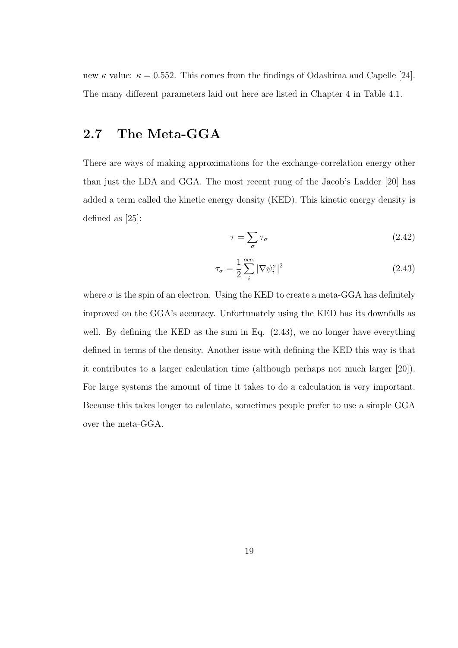new  $\kappa$  value:  $\kappa = 0.552$ . This comes from the findings of Odashima and Capelle [24]. The many different parameters laid out here are listed in Chapter 4 in Table 4.1.

### **2.7 The Meta-GGA**

There are ways of making approximations for the exchange-correlation energy other than just the LDA and GGA. The most recent rung of the Jacob's Ladder [20] has added a term called the kinetic energy density (KED). This kinetic energy density is defined as [25]:

$$
\tau = \sum_{\sigma} \tau_{\sigma} \tag{2.42}
$$

$$
\tau_{\sigma} = \frac{1}{2} \sum_{i}^{\text{occ.}} |\nabla \psi_{i}^{\sigma}|^{2}
$$
\n(2.43)

where  $\sigma$  is the spin of an electron. Using the KED to create a meta-GGA has definitely improved on the GGA's accuracy. Unfortunately using the KED has its downfalls as well. By defining the KED as the sum in Eq.  $(2.43)$ , we no longer have everything defined in terms of the density. Another issue with defining the KED this way is that it contributes to a larger calculation time (although perhaps not much larger [20]). For large systems the amount of time it takes to do a calculation is very important. Because this takes longer to calculate, sometimes people prefer to use a simple GGA over the meta-GGA.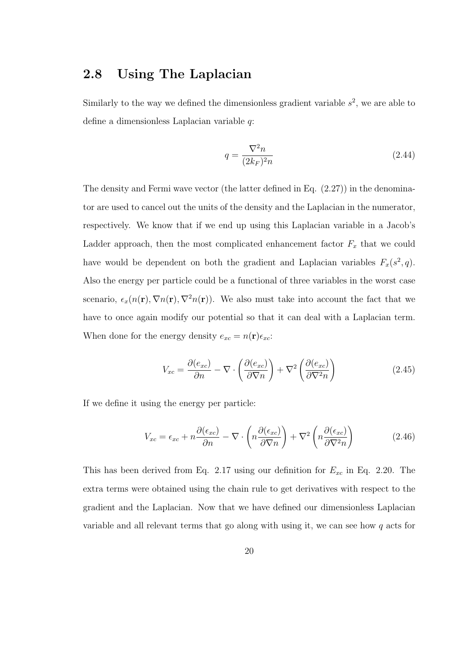### **2.8 Using The Laplacian**

Similarly to the way we defined the dimensionless gradient variable  $s<sup>2</sup>$ , we are able to define a dimensionless Laplacian variable *q*:

$$
q = \frac{\nabla^2 n}{(2k_F)^2 n} \tag{2.44}
$$

The density and Fermi wave vector (the latter defined in Eq. (2.27)) in the denominator are used to cancel out the units of the density and the Laplacian in the numerator, respectively. We know that if we end up using this Laplacian variable in a Jacob's Ladder approach, then the most complicated enhancement factor  $F_x$  that we could have would be dependent on both the gradient and Laplacian variables  $F_x(s^2, q)$ . Also the energy per particle could be a functional of three variables in the worst case scenario,  $\epsilon_x(n(\mathbf{r}), \nabla n(\mathbf{r}), \nabla^2 n(\mathbf{r}))$ . We also must take into account the fact that we have to once again modify our potential so that it can deal with a Laplacian term. When done for the energy density  $e_{xc} = n(\mathbf{r})\epsilon_{xc}$ :

$$
V_{xc} = \frac{\partial(e_{xc})}{\partial n} - \nabla \cdot \left(\frac{\partial(e_{xc})}{\partial \nabla n}\right) + \nabla^2 \left(\frac{\partial(e_{xc})}{\partial \nabla^2 n}\right)
$$
(2.45)

If we define it using the energy per particle:

$$
V_{xc} = \epsilon_{xc} + n \frac{\partial(\epsilon_{xc})}{\partial n} - \nabla \cdot \left( n \frac{\partial(\epsilon_{xc})}{\partial \nabla n} \right) + \nabla^2 \left( n \frac{\partial(\epsilon_{xc})}{\partial \nabla^2 n} \right) \tag{2.46}
$$

This has been derived from Eq. 2.17 using our definition for  $E_{xc}$  in Eq. 2.20. The extra terms were obtained using the chain rule to get derivatives with respect to the gradient and the Laplacian. Now that we have defined our dimensionless Laplacian variable and all relevant terms that go along with using it, we can see how *q* acts for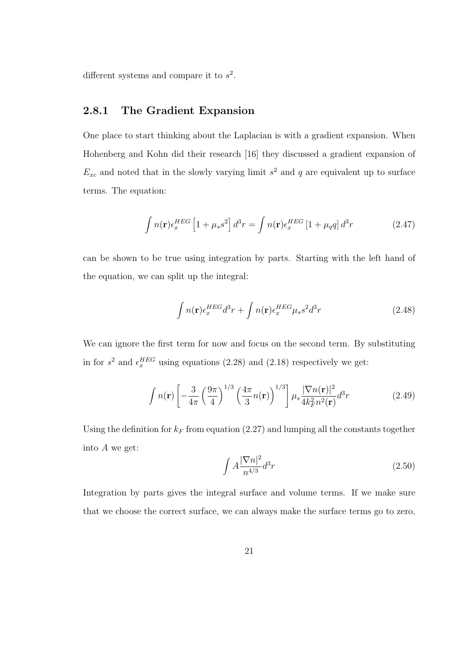different systems and compare it to *s* 2 .

#### **2.8.1 The Gradient Expansion**

One place to start thinking about the Laplacian is with a gradient expansion. When Hohenberg and Kohn did their research [16] they discussed a gradient expansion of  $E_{xc}$  and noted that in the slowly varying limit  $s^2$  and  $q$  are equivalent up to surface terms. The equation:

$$
\int n(\mathbf{r}) \epsilon_x^{HEG} \left[ 1 + \mu_s s^2 \right] d^3 r = \int n(\mathbf{r}) \epsilon_x^{HEG} \left[ 1 + \mu_q q \right] d^3 r \tag{2.47}
$$

can be shown to be true using integration by parts. Starting with the left hand of the equation, we can split up the integral:

$$
\int n(\mathbf{r}) \epsilon_x^{HEG} d^3r + \int n(\mathbf{r}) \epsilon_x^{HEG} \mu_s s^2 d^3r \tag{2.48}
$$

We can ignore the first term for now and focus on the second term. By substituting in for  $s^2$  and  $\epsilon_x^{HEG}$  using equations (2.28) and (2.18) respectively we get:

$$
\int n(\mathbf{r}) \left[ -\frac{3}{4\pi} \left( \frac{9\pi}{4} \right)^{1/3} \left( \frac{4\pi}{3} n(\mathbf{r}) \right)^{1/3} \right] \mu_s \frac{|\nabla n(\mathbf{r})|^2}{4k_F^2 n^2(\mathbf{r})} d^3 r \tag{2.49}
$$

Using the definition for  $k_F$  from equation (2.27) and lumping all the constants together into *A* we get:

$$
\int A \frac{|\nabla n|^2}{n^{4/3}} d^3r \tag{2.50}
$$

Integration by parts gives the integral surface and volume terms. If we make sure that we choose the correct surface, we can always make the surface terms go to zero,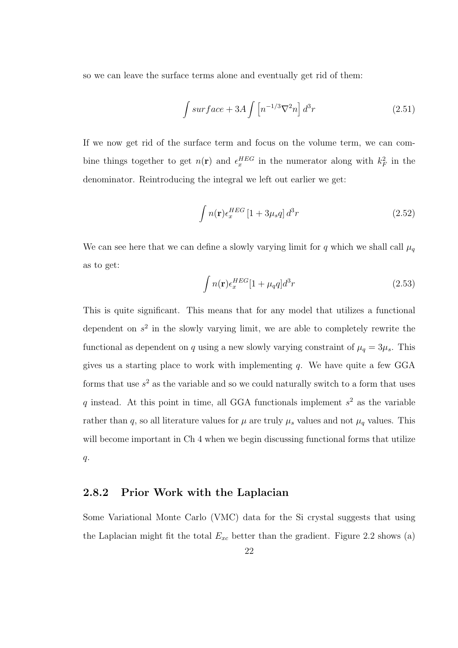so we can leave the surface terms alone and eventually get rid of them:

$$
\int \operatorname{surface} + 3A \int \left[ n^{-1/3} \nabla^2 n \right] d^3 r \tag{2.51}
$$

If we now get rid of the surface term and focus on the volume term, we can combine things together to get  $n(\mathbf{r})$  and  $\epsilon_x^{HEG}$  in the numerator along with  $k_F^2$  in the denominator. Reintroducing the integral we left out earlier we get:

$$
\int n(\mathbf{r}) \epsilon_x^{HEG} \left[1 + 3\mu_s q\right] d^3r \tag{2.52}
$$

We can see here that we can define a slowly varying limit for  $q$  which we shall call  $\mu_q$ as to get:

$$
\int n(\mathbf{r}) \epsilon_x^{HEG} [1 + \mu_q q] d^3 r \tag{2.53}
$$

This is quite significant. This means that for any model that utilizes a functional dependent on  $s^2$  in the slowly varying limit, we are able to completely rewrite the functional as dependent on *q* using a new slowly varying constraint of  $\mu_q = 3\mu_s$ . This gives us a starting place to work with implementing *q*. We have quite a few GGA forms that use  $s<sup>2</sup>$  as the variable and so we could naturally switch to a form that uses *q* instead. At this point in time, all GGA functionals implement *s* <sup>2</sup> as the variable rather than *q*, so all literature values for  $\mu$  are truly  $\mu_s$  values and not  $\mu_q$  values. This will become important in Ch 4 when we begin discussing functional forms that utilize *q*.

#### **2.8.2 Prior Work with the Laplacian**

Some Variational Monte Carlo (VMC) data for the Si crystal suggests that using the Laplacian might fit the total  $E_{xc}$  better than the gradient. Figure 2.2 shows (a)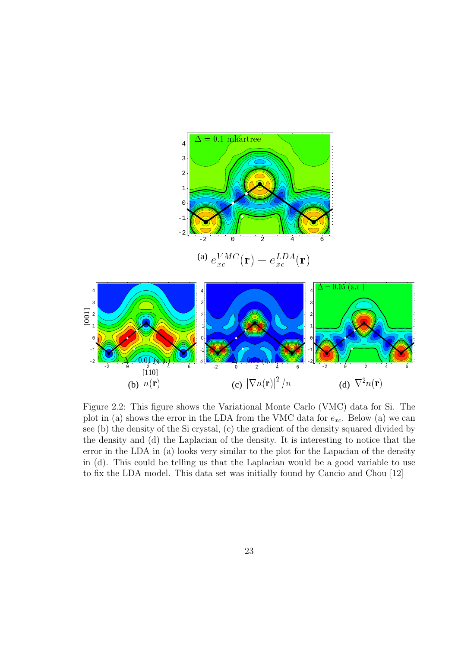

Figure 2.2: This figure shows the Variational Monte Carlo (VMC) data for Si. The plot in (a) shows the error in the LDA from the VMC data for  $e_{xc}$ . Below (a) we can see (b) the density of the Si crystal, (c) the gradient of the density squared divided by the density and (d) the Laplacian of the density. It is interesting to notice that the error in the LDA in (a) looks very similar to the plot for the Lapacian of the density in (d). This could be telling us that the Laplacian would be a good variable to use to fix the LDA model. This data set was initially found by Cancio and Chou [12]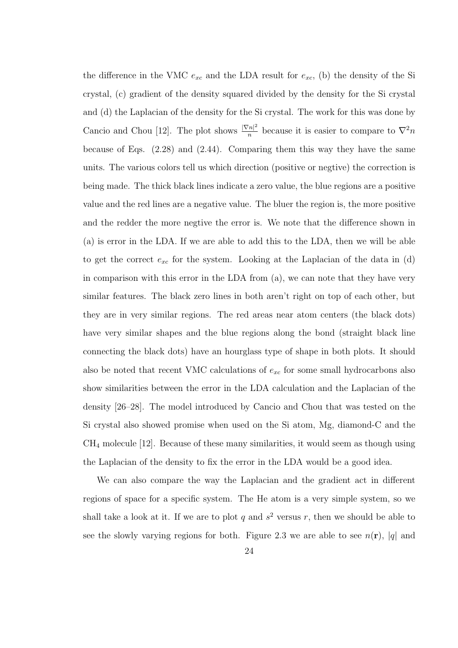the difference in the VMC  $e_{xc}$  and the LDA result for  $e_{xc}$ , (b) the density of the Si crystal, (c) gradient of the density squared divided by the density for the Si crystal and (d) the Laplacian of the density for the Si crystal. The work for this was done by Cancio and Chou [12]. The plot shows  $\frac{|\nabla n|^2}{n}$  $\frac{m^2}{n}$  because it is easier to compare to  $\nabla^2 n$ because of Eqs. (2.28) and (2.44). Comparing them this way they have the same units. The various colors tell us which direction (positive or negtive) the correction is being made. The thick black lines indicate a zero value, the blue regions are a positive value and the red lines are a negative value. The bluer the region is, the more positive and the redder the more negtive the error is. We note that the difference shown in (a) is error in the LDA. If we are able to add this to the LDA, then we will be able to get the correct  $e_{xc}$  for the system. Looking at the Laplacian of the data in  $(d)$ in comparison with this error in the LDA from (a), we can note that they have very similar features. The black zero lines in both aren't right on top of each other, but they are in very similar regions. The red areas near atom centers (the black dots) have very similar shapes and the blue regions along the bond (straight black line connecting the black dots) have an hourglass type of shape in both plots. It should also be noted that recent VMC calculations of *exc* for some small hydrocarbons also show similarities between the error in the LDA calculation and the Laplacian of the density [26–28]. The model introduced by Cancio and Chou that was tested on the Si crystal also showed promise when used on the Si atom, Mg, diamond-C and the CH<sup>4</sup> molecule [12]. Because of these many similarities, it would seem as though using the Laplacian of the density to fix the error in the LDA would be a good idea.

We can also compare the way the Laplacian and the gradient act in different regions of space for a specific system. The He atom is a very simple system, so we shall take a look at it. If we are to plot  $q$  and  $s^2$  versus  $r$ , then we should be able to see the slowly varying regions for both. Figure 2.3 we are able to see  $n(\mathbf{r})$ , |q| and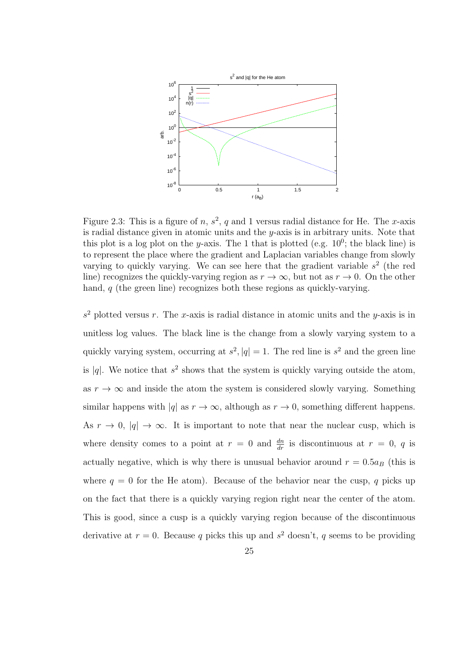

Figure 2.3: This is a figure of *n*,  $s^2$ , *q* and 1 versus radial distance for He. The *x*-axis is radial distance given in atomic units and the *y*-axis is in arbitrary units. Note that this plot is a log plot on the *y*-axis. The 1 that is plotted (e.g.  $10^0$ ; the black line) is to represent the place where the gradient and Laplacian variables change from slowly varying to quickly varying. We can see here that the gradient variable  $s<sup>2</sup>$  (the red line) recognizes the quickly-varying region as  $r \to \infty$ , but not as  $r \to 0$ . On the other hand, *q* (the green line) recognizes both these regions as quickly-varying.

 $s<sup>2</sup>$  plotted versus *r*. The *x*-axis is radial distance in atomic units and the *y*-axis is in unitless log values. The black line is the change from a slowly varying system to a quickly varying system, occurring at  $s^2$ ,  $|q| = 1$ . The red line is  $s^2$  and the green line is  $|q|$ . We notice that  $s^2$  shows that the system is quickly varying outside the atom, as  $r \to \infty$  and inside the atom the system is considered slowly varying. Something similar happens with  $|q|$  as  $r \to \infty$ , although as  $r \to 0$ , something different happens. As  $r \to 0$ ,  $|q| \to \infty$ . It is important to note that near the nuclear cusp, which is where density comes to a point at  $r = 0$  and  $\frac{dn}{dr}$  is discontinuous at  $r = 0$ , q is actually negative, which is why there is unusual behavior around  $r = 0.5a_B$  (this is where  $q = 0$  for the He atom). Because of the behavior near the cusp, q picks up on the fact that there is a quickly varying region right near the center of the atom. This is good, since a cusp is a quickly varying region because of the discontinuous derivative at  $r = 0$ . Because q picks this up and  $s<sup>2</sup>$  doesn't, q seems to be providing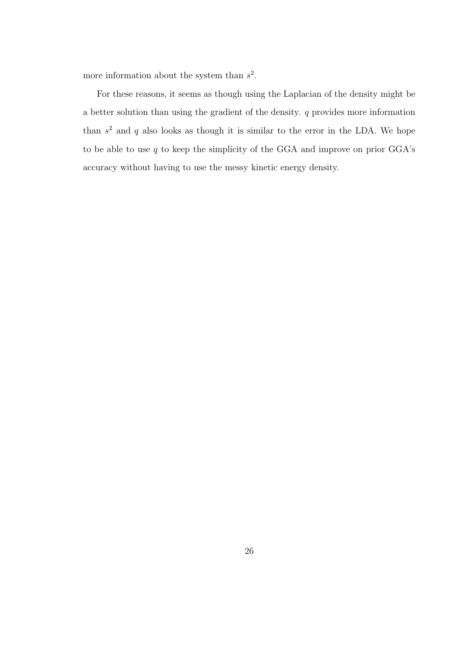more information about the system than *s* 2 .

For these reasons, it seems as though using the Laplacian of the density might be a better solution than using the gradient of the density. *q* provides more information than  $s<sup>2</sup>$  and  $q$  also looks as though it is similar to the error in the LDA. We hope to be able to use *q* to keep the simplicity of the GGA and improve on prior GGA's accuracy without having to use the messy kinetic energy density.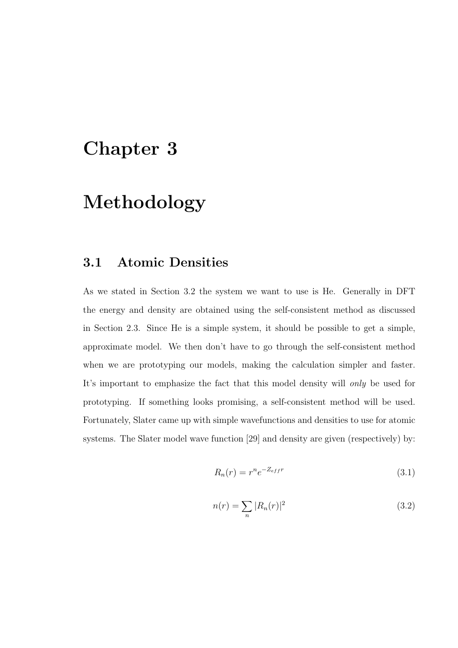# **Chapter 3**

# **Methodology**

### **3.1 Atomic Densities**

As we stated in Section 3.2 the system we want to use is He. Generally in DFT the energy and density are obtained using the self-consistent method as discussed in Section 2.3. Since He is a simple system, it should be possible to get a simple, approximate model. We then don't have to go through the self-consistent method when we are prototyping our models, making the calculation simpler and faster. It's important to emphasize the fact that this model density will *only* be used for prototyping. If something looks promising, a self-consistent method will be used. Fortunately, Slater came up with simple wavefunctions and densities to use for atomic systems. The Slater model wave function [29] and density are given (respectively) by:

$$
R_n(r) = r^n e^{-Z_{eff}r} \tag{3.1}
$$

$$
n(r) = \sum_{n} |R_n(r)|^2
$$
\n(3.2)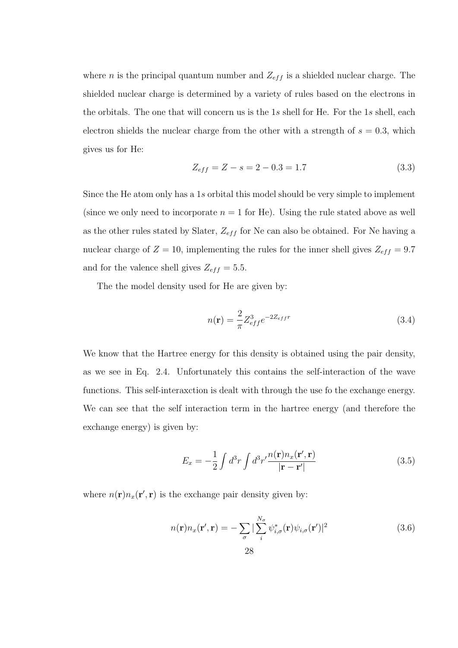where *n* is the principal quantum number and  $Z_{eff}$  is a shielded nuclear charge. The shielded nuclear charge is determined by a variety of rules based on the electrons in the orbitals. The one that will concern us is the 1*s* shell for He. For the 1*s* shell, each electron shields the nuclear charge from the other with a strength of  $s = 0.3$ , which gives us for He:

$$
Z_{eff} = Z - s = 2 - 0.3 = 1.7
$$
\n(3.3)

Since the He atom only has a 1*s* orbital this model should be very simple to implement (since we only need to incorporate  $n = 1$  for He). Using the rule stated above as well as the other rules stated by Slater,  $Z_{eff}$  for Ne can also be obtained. For Ne having a nuclear charge of  $Z = 10$ , implementing the rules for the inner shell gives  $Z_{eff} = 9.7$ and for the valence shell gives  $Z_{eff} = 5.5$ .

The the model density used for He are given by:

$$
n(\mathbf{r}) = \frac{2}{\pi} Z_{eff}^3 e^{-2Z_{eff}r}
$$
\n(3.4)

We know that the Hartree energy for this density is obtained using the pair density, as we see in Eq. 2.4. Unfortunately this contains the self-interaction of the wave functions. This self-interaxction is dealt with through the use fo the exchange energy. We can see that the self interaction term in the hartree energy (and therefore the exchange energy) is given by:

$$
E_x = -\frac{1}{2} \int d^3r \int d^3r' \frac{n(\mathbf{r}) n_x(\mathbf{r}', \mathbf{r})}{|\mathbf{r} - \mathbf{r}'|}
$$
(3.5)

where  $n(\mathbf{r})n_x(\mathbf{r}',\mathbf{r})$  is the exchange pair density given by:

$$
n(\mathbf{r})n_x(\mathbf{r}',\mathbf{r}) = -\sum_{\sigma} |\sum_{i}^{N_{\sigma}} \psi_{i,\sigma}^*(\mathbf{r})\psi_{i,\sigma}(\mathbf{r}')|^2
$$
(3.6)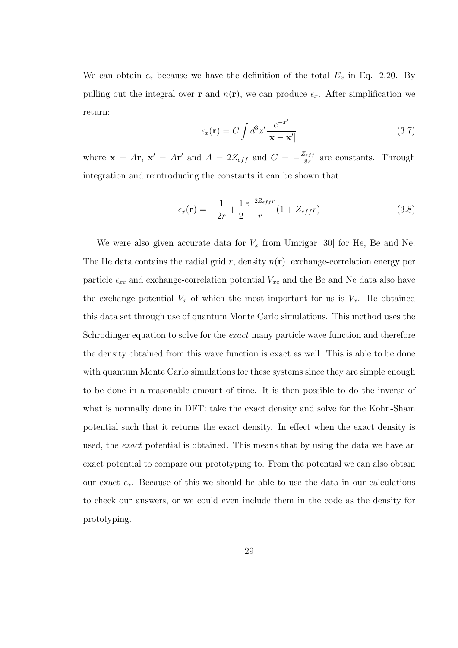We can obtain  $\epsilon_x$  because we have the definition of the total  $E_x$  in Eq. 2.20. By pulling out the integral over **r** and  $n(\mathbf{r})$ , we can produce  $\epsilon_x$ . After simplification we return:

$$
\epsilon_x(\mathbf{r}) = C \int d^3x' \frac{e^{-x'}}{|\mathbf{x} - \mathbf{x}'|}
$$
\n(3.7)

where  $\mathbf{x} = A\mathbf{r}$ ,  $\mathbf{x}' = A\mathbf{r}'$  and  $A = 2Z_{eff}$  and  $C = -\frac{Z_{eff}}{8\pi}$ 8*π* are constants. Through integration and reintroducing the constants it can be shown that:

$$
\epsilon_x(\mathbf{r}) = -\frac{1}{2r} + \frac{1}{2} \frac{e^{-2Z_{eff}r}}{r} (1 + Z_{eff}r)
$$
\n(3.8)

We were also given accurate data for  $V_x$  from Umrigar [30] for He, Be and Ne. The He data contains the radial grid  $r$ , density  $n(\mathbf{r})$ , exchange-correlation energy per particle  $\epsilon_{xc}$  and exchange-correlation potential  $V_{xc}$  and the Be and Ne data also have the exchange potential  $V_x$  of which the most important for us is  $V_x$ . He obtained this data set through use of quantum Monte Carlo simulations. This method uses the Schrodinger equation to solve for the *exact* many particle wave function and therefore the density obtained from this wave function is exact as well. This is able to be done with quantum Monte Carlo simulations for these systems since they are simple enough to be done in a reasonable amount of time. It is then possible to do the inverse of what is normally done in DFT: take the exact density and solve for the Kohn-Sham potential such that it returns the exact density. In effect when the exact density is used, the *exact* potential is obtained. This means that by using the data we have an exact potential to compare our prototyping to. From the potential we can also obtain our exact  $\epsilon_x$ . Because of this we should be able to use the data in our calculations to check our answers, or we could even include them in the code as the density for prototyping.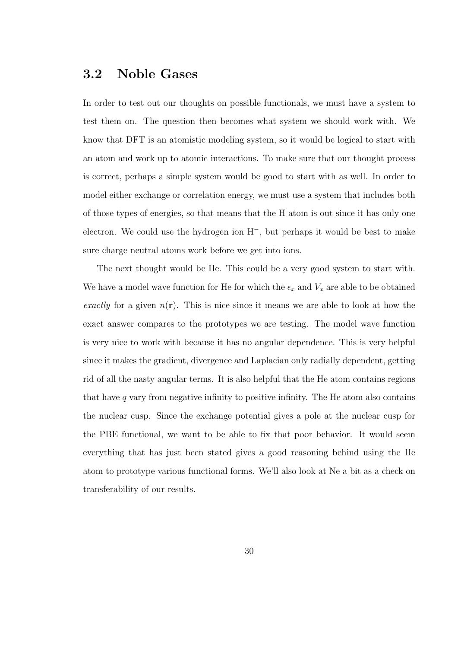### **3.2 Noble Gases**

In order to test out our thoughts on possible functionals, we must have a system to test them on. The question then becomes what system we should work with. We know that DFT is an atomistic modeling system, so it would be logical to start with an atom and work up to atomic interactions. To make sure that our thought process is correct, perhaps a simple system would be good to start with as well. In order to model either exchange or correlation energy, we must use a system that includes both of those types of energies, so that means that the H atom is out since it has only one electron. We could use the hydrogen ion H*−*, but perhaps it would be best to make sure charge neutral atoms work before we get into ions.

The next thought would be He. This could be a very good system to start with. We have a model wave function for He for which the  $\epsilon_x$  and  $V_x$  are able to be obtained *exactly* for a given  $n(\mathbf{r})$ . This is nice since it means we are able to look at how the exact answer compares to the prototypes we are testing. The model wave function is very nice to work with because it has no angular dependence. This is very helpful since it makes the gradient, divergence and Laplacian only radially dependent, getting rid of all the nasty angular terms. It is also helpful that the He atom contains regions that have *q* vary from negative infinity to positive infinity. The He atom also contains the nuclear cusp. Since the exchange potential gives a pole at the nuclear cusp for the PBE functional, we want to be able to fix that poor behavior. It would seem everything that has just been stated gives a good reasoning behind using the He atom to prototype various functional forms. We'll also look at Ne a bit as a check on transferability of our results.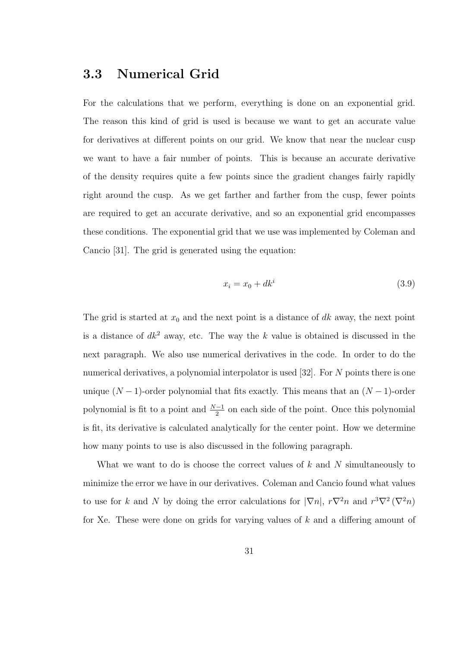## **3.3 Numerical Grid**

For the calculations that we perform, everything is done on an exponential grid. The reason this kind of grid is used is because we want to get an accurate value for derivatives at different points on our grid. We know that near the nuclear cusp we want to have a fair number of points. This is because an accurate derivative of the density requires quite a few points since the gradient changes fairly rapidly right around the cusp. As we get farther and farther from the cusp, fewer points are required to get an accurate derivative, and so an exponential grid encompasses these conditions. The exponential grid that we use was implemented by Coleman and Cancio [31]. The grid is generated using the equation:

$$
x_i = x_0 + dk^i \tag{3.9}
$$

The grid is started at  $x_0$  and the next point is a distance of  $dk$  away, the next point is a distance of  $dk^2$  away, etc. The way the  $k$  value is obtained is discussed in the next paragraph. We also use numerical derivatives in the code. In order to do the numerical derivatives, a polynomial interpolator is used [32]. For *N* points there is one unique  $(N-1)$ -order polynomial that fits exactly. This means that an  $(N-1)$ -order polynomial is fit to a point and  $\frac{N-1}{2}$  on each side of the point. Once this polynomial is fit, its derivative is calculated analytically for the center point. How we determine how many points to use is also discussed in the following paragraph.

What we want to do is choose the correct values of *k* and *N* simultaneously to minimize the error we have in our derivatives. Coleman and Cancio found what values to use for *k* and *N* by doing the error calculations for  $|\nabla n|$ ,  $r\nabla^2 n$  and  $r^3\nabla^2 (\nabla^2 n)$ for Xe. These were done on grids for varying values of *k* and a differing amount of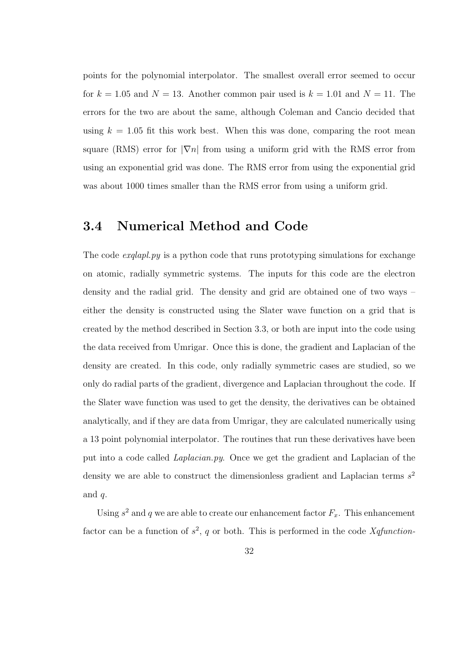points for the polynomial interpolator. The smallest overall error seemed to occur for  $k = 1.05$  and  $N = 13$ . Another common pair used is  $k = 1.01$  and  $N = 11$ . The errors for the two are about the same, although Coleman and Cancio decided that using  $k = 1.05$  fit this work best. When this was done, comparing the root mean square (RMS) error for  $|\nabla n|$  from using a uniform grid with the RMS error from using an exponential grid was done. The RMS error from using the exponential grid was about 1000 times smaller than the RMS error from using a uniform grid.

## **3.4 Numerical Method and Code**

The code *exqlapl.py* is a python code that runs prototyping simulations for exchange on atomic, radially symmetric systems. The inputs for this code are the electron density and the radial grid. The density and grid are obtained one of two ways – either the density is constructed using the Slater wave function on a grid that is created by the method described in Section 3.3, or both are input into the code using the data received from Umrigar. Once this is done, the gradient and Laplacian of the density are created. In this code, only radially symmetric cases are studied, so we only do radial parts of the gradient, divergence and Laplacian throughout the code. If the Slater wave function was used to get the density, the derivatives can be obtained analytically, and if they are data from Umrigar, they are calculated numerically using a 13 point polynomial interpolator. The routines that run these derivatives have been put into a code called *Laplacian.py*. Once we get the gradient and Laplacian of the density we are able to construct the dimensionless gradient and Laplacian terms *s* 2 and *q*.

Using  $s^2$  and  $q$  we are able to create our enhancement factor  $F_x$ . This enhancement factor can be a function of  $s^2$ , q or both. This is performed in the code *Xqfunction*-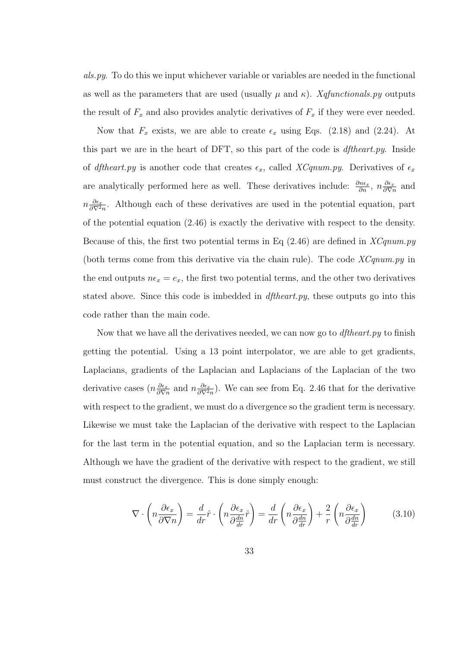*als.py*. To do this we input whichever variable or variables are needed in the functional as well as the parameters that are used (usually  $\mu$  and  $\kappa$ ). *Xqfunctionals.py* outputs the result of  $F_x$  and also provides analytic derivatives of  $F_x$  if they were ever needed.

Now that  $F_x$  exists, we are able to create  $\epsilon_x$  using Eqs. (2.18) and (2.24). At this part we are in the heart of DFT, so this part of the code is *dftheart.py*. Inside of *dftheart.py* is another code that creates  $\epsilon_x$ , called *XCqnum.py*. Derivatives of  $\epsilon_x$ are analytically performed here as well. These derivatives include:  $\frac{\partial n\epsilon_x}{\partial n}$ ,  $n \frac{\partial \epsilon_x}{\partial \nabla n}$  $\frac{\partial \epsilon_x}{\partial \nabla n}$  and  $n\frac{\partial \epsilon_x}{\partial \nabla^2}$  $\frac{\partial \epsilon_x}{\partial \nabla^2 n}$ . Although each of these derivatives are used in the potential equation, part of the potential equation (2.46) is exactly the derivative with respect to the density. Because of this, the first two potential terms in Eq (2.46) are defined in *XCqnum.py* (both terms come from this derivative via the chain rule). The code *XCqnum.py* in the end outputs  $n\epsilon_x = e_x$ , the first two potential terms, and the other two derivatives stated above. Since this code is imbedded in *dftheart.py*, these outputs go into this code rather than the main code.

Now that we have all the derivatives needed, we can now go to *dftheart.py* to finish getting the potential. Using a 13 point interpolator, we are able to get gradients, Laplacians, gradients of the Laplacian and Laplacians of the Laplacian of the two derivative cases  $(n\frac{\partial \epsilon_x}{\partial \nabla^2})$  $\frac{\partial \epsilon_x}{\partial \nabla n}$  and  $n \frac{\partial \epsilon_x}{\partial \nabla^2}$  $\frac{\partial \epsilon_x}{\partial \nabla^2 n}$ . We can see from Eq. 2.46 that for the derivative with respect to the gradient, we must do a divergence so the gradient term is necessary. Likewise we must take the Laplacian of the derivative with respect to the Laplacian for the last term in the potential equation, and so the Laplacian term is necessary. Although we have the gradient of the derivative with respect to the gradient, we still must construct the divergence. This is done simply enough:

$$
\nabla \cdot \left( n \frac{\partial \epsilon_x}{\partial \nabla n} \right) = \frac{d}{dr} \hat{r} \cdot \left( n \frac{\partial \epsilon_x}{\partial \frac{dn}{dr}} \hat{r} \right) = \frac{d}{dr} \left( n \frac{\partial \epsilon_x}{\partial \frac{dn}{dr}} \right) + \frac{2}{r} \left( n \frac{\partial \epsilon_x}{\partial \frac{dn}{dr}} \right) \tag{3.10}
$$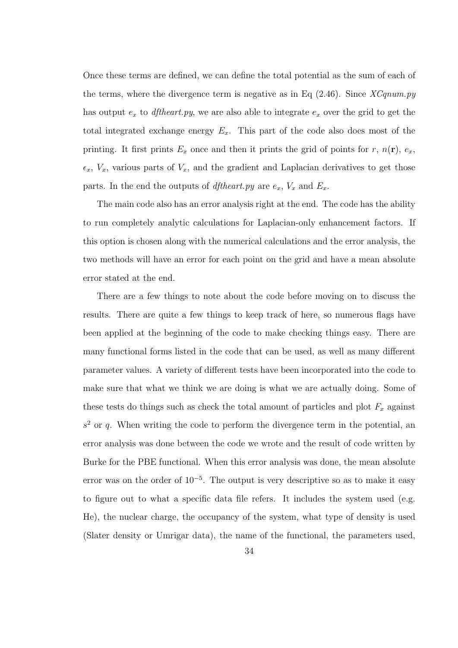Once these terms are defined, we can define the total potential as the sum of each of the terms, where the divergence term is negative as in Eq (2.46). Since *XCqnum.py* has output *e<sup>x</sup>* to *dftheart.py*, we are also able to integrate *e<sup>x</sup>* over the grid to get the total integrated exchange energy *Ex*. This part of the code also does most of the printing. It first prints  $E_x$  once and then it prints the grid of points for *r*,  $n(\mathbf{r})$ ,  $e_x$ ,  $\epsilon_x$ ,  $V_x$ , various parts of  $V_x$ , and the gradient and Laplacian derivatives to get those parts. In the end the outputs of *dftheart.py* are  $e_x$ ,  $V_x$  and  $E_x$ .

The main code also has an error analysis right at the end. The code has the ability to run completely analytic calculations for Laplacian-only enhancement factors. If this option is chosen along with the numerical calculations and the error analysis, the two methods will have an error for each point on the grid and have a mean absolute error stated at the end.

There are a few things to note about the code before moving on to discuss the results. There are quite a few things to keep track of here, so numerous flags have been applied at the beginning of the code to make checking things easy. There are many functional forms listed in the code that can be used, as well as many different parameter values. A variety of different tests have been incorporated into the code to make sure that what we think we are doing is what we are actually doing. Some of these tests do things such as check the total amount of particles and plot  $F_x$  against  $s<sup>2</sup>$  or *q*. When writing the code to perform the divergence term in the potential, an error analysis was done between the code we wrote and the result of code written by Burke for the PBE functional. When this error analysis was done, the mean absolute error was on the order of 10*−*<sup>5</sup> . The output is very descriptive so as to make it easy to figure out to what a specific data file refers. It includes the system used (e.g. He), the nuclear charge, the occupancy of the system, what type of density is used (Slater density or Umrigar data), the name of the functional, the parameters used,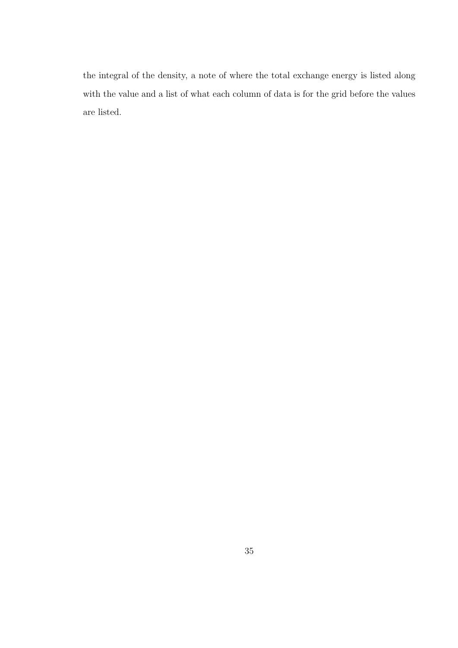the integral of the density, a note of where the total exchange energy is listed along with the value and a list of what each column of data is for the grid before the values are listed.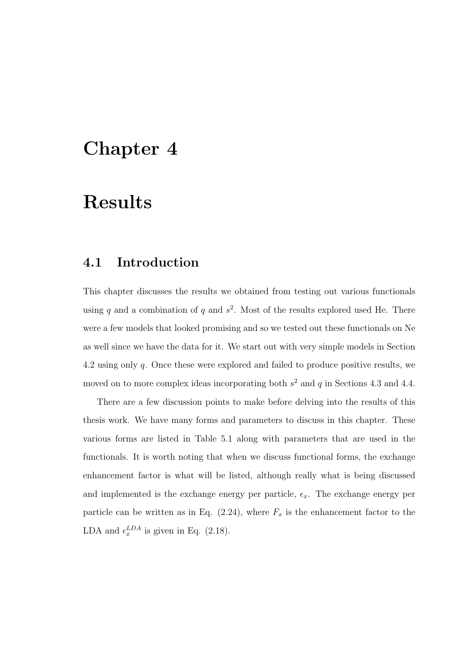## **Chapter 4**

# **Results**

## **4.1 Introduction**

This chapter discusses the results we obtained from testing out various functionals using  $q$  and a combination of  $q$  and  $s^2$ . Most of the results explored used He. There were a few models that looked promising and so we tested out these functionals on Ne as well since we have the data for it. We start out with very simple models in Section 4.2 using only *q*. Once these were explored and failed to produce positive results, we moved on to more complex ideas incorporating both *s* <sup>2</sup> and *q* in Sections 4.3 and 4.4.

There are a few discussion points to make before delving into the results of this thesis work. We have many forms and parameters to discuss in this chapter. These various forms are listed in Table 5.1 along with parameters that are used in the functionals. It is worth noting that when we discuss functional forms, the exchange enhancement factor is what will be listed, although really what is being discussed and implemented is the exchange energy per particle,  $\epsilon_x$ . The exchange energy per particle can be written as in Eq.  $(2.24)$ , where  $F_x$  is the enhancement factor to the LDA and  $\epsilon_x^{LDA}$  is given in Eq. (2.18).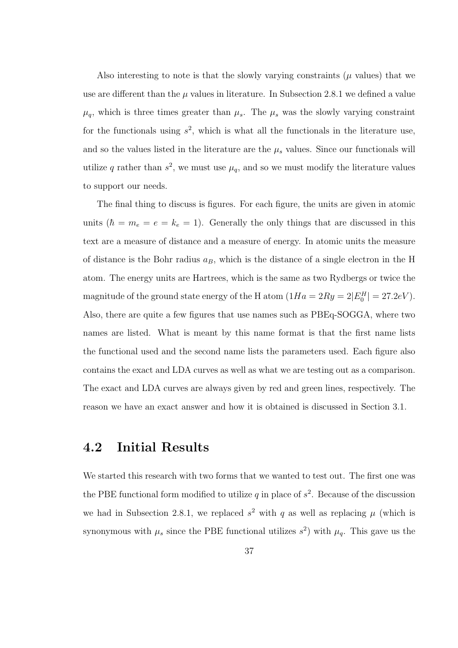Also interesting to note is that the slowly varying constraints  $(\mu$  values) that we use are different than the  $\mu$  values in literature. In Subsection 2.8.1 we defined a value  $\mu_q$ , which is three times greater than  $\mu_s$ . The  $\mu_s$  was the slowly varying constraint for the functionals using  $s^2$ , which is what all the functionals in the literature use, and so the values listed in the literature are the  $\mu_s$  values. Since our functionals will utilize *q* rather than  $s^2$ , we must use  $\mu_q$ , and so we must modify the literature values to support our needs.

The final thing to discuss is figures. For each figure, the units are given in atomic units  $(\hbar = m_e = e = k_e = 1)$ . Generally the only things that are discussed in this text are a measure of distance and a measure of energy. In atomic units the measure of distance is the Bohr radius  $a_B$ , which is the distance of a single electron in the H atom. The energy units are Hartrees, which is the same as two Rydbergs or twice the magnitude of the ground state energy of the H atom  $(1Ha = 2Ry = 2|E_0^H| = 27.2eV)$ . Also, there are quite a few figures that use names such as PBEq-SOGGA, where two names are listed. What is meant by this name format is that the first name lists the functional used and the second name lists the parameters used. Each figure also contains the exact and LDA curves as well as what we are testing out as a comparison. The exact and LDA curves are always given by red and green lines, respectively. The reason we have an exact answer and how it is obtained is discussed in Section 3.1.

## **4.2 Initial Results**

We started this research with two forms that we wanted to test out. The first one was the PBE functional form modified to utilize  $q$  in place of  $s^2$ . Because of the discussion we had in Subsection 2.8.1, we replaced  $s^2$  with q as well as replacing  $\mu$  (which is synonymous with  $\mu_s$  since the PBE functional utilizes  $s^2$ ) with  $\mu_q$ . This gave us the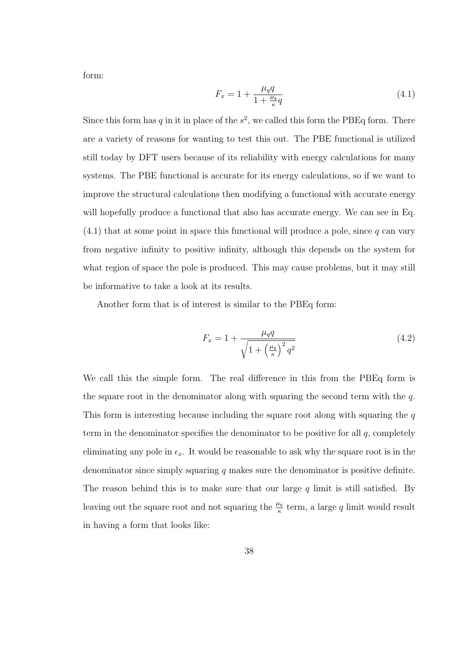form:

$$
F_x = 1 + \frac{\mu_q q}{1 + \frac{\mu_q}{\kappa} q} \tag{4.1}
$$

Since this form has  $q$  in it in place of the  $s^2$ , we called this form the PBE $q$  form. There are a variety of reasons for wanting to test this out. The PBE functional is utilized still today by DFT users because of its reliability with energy calculations for many systems. The PBE functional is accurate for its energy calculations, so if we want to improve the structural calculations then modifying a functional with accurate energy will hopefully produce a functional that also has accurate energy. We can see in Eq. (4.1) that at some point in space this functional will produce a pole, since *q* can vary from negative infinity to positive infinity, although this depends on the system for what region of space the pole is produced. This may cause problems, but it may still be informative to take a look at its results.

Another form that is of interest is similar to the PBEq form:

$$
F_x = 1 + \frac{\mu_q q}{\sqrt{1 + \left(\frac{\mu_q}{\kappa}\right)^2 q^2}}
$$
\n(4.2)

We call this the simple form. The real difference in this from the PBEq form is the square root in the denominator along with squaring the second term with the *q*. This form is interesting because including the square root along with squaring the *q* term in the denominator specifies the denominator to be positive for all *q*, completely eliminating any pole in  $\epsilon_x$ . It would be reasonable to ask why the square root is in the denominator since simply squaring *q* makes sure the denominator is positive definite. The reason behind this is to make sure that our large *q* limit is still satisfied. By leaving out the square root and not squaring the  $\frac{\mu_q}{\kappa}$  term, a large *q* limit would result in having a form that looks like: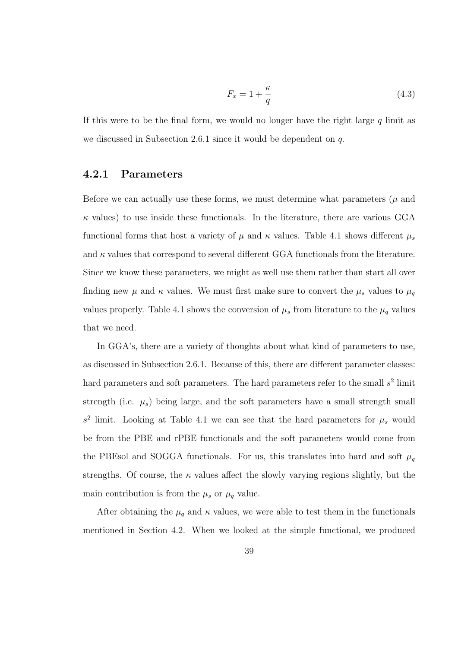$$
F_x = 1 + \frac{\kappa}{q} \tag{4.3}
$$

If this were to be the final form, we would no longer have the right large *q* limit as we discussed in Subsection 2.6.1 since it would be dependent on *q*.

#### **4.2.1 Parameters**

Before we can actually use these forms, we must determine what parameters  $(\mu$  and  $\kappa$  values) to use inside these functionals. In the literature, there are various GGA functional forms that host a variety of  $\mu$  and  $\kappa$  values. Table 4.1 shows different  $\mu_s$ and  $\kappa$  values that correspond to several different GGA functionals from the literature. Since we know these parameters, we might as well use them rather than start all over finding new  $\mu$  and  $\kappa$  values. We must first make sure to convert the  $\mu_s$  values to  $\mu_q$ values properly. Table 4.1 shows the conversion of  $\mu_s$  from literature to the  $\mu_q$  values that we need.

In GGA's, there are a variety of thoughts about what kind of parameters to use, as discussed in Subsection 2.6.1. Because of this, there are different parameter classes: hard parameters and soft parameters. The hard parameters refer to the small  $s^2$  limit strength (i.e.  $\mu_s$ ) being large, and the soft parameters have a small strength small  $s^2$  limit. Looking at Table 4.1 we can see that the hard parameters for  $\mu_s$  would be from the PBE and rPBE functionals and the soft parameters would come from the PBEsol and SOGGA functionals. For us, this translates into hard and soft  $\mu_q$ strengths. Of course, the  $\kappa$  values affect the slowly varying regions slightly, but the main contribution is from the  $\mu_s$  or  $\mu_q$  value.

After obtaining the  $\mu_q$  and  $\kappa$  values, we were able to test them in the functionals mentioned in Section 4.2. When we looked at the simple functional, we produced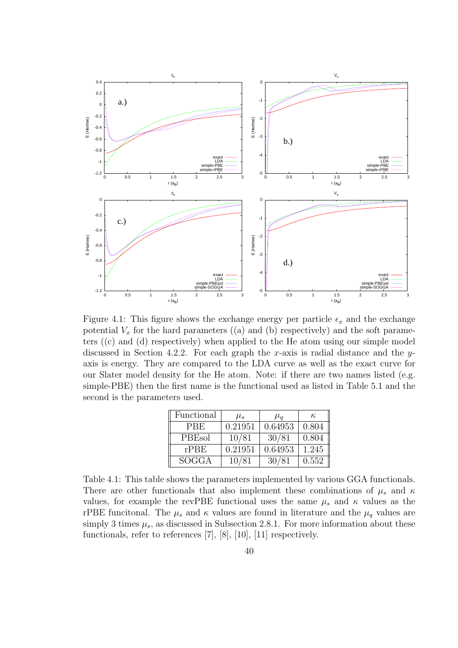

Figure 4.1: This figure shows the exchange energy per particle  $\epsilon_x$  and the exchange potential  $V_x$  for the hard parameters ((a) and (b) respectively) and the soft parameters ((c) and (d) respectively) when applied to the He atom using our simple model discussed in Section 4.2.2. For each graph the *x*-axis is radial distance and the *y*axis is energy. They are compared to the LDA curve as well as the exact curve for our Slater model density for the He atom. Note: if there are two names listed (e.g. simple-PBE) then the first name is the functional used as listed in Table 5.1 and the second is the parameters used.

| Functional   | $\mu_s$ | $\mu_a$ | $\kappa$ |
|--------------|---------|---------|----------|
| <b>PBE</b>   | 0.21951 | 0.64953 | 0.804    |
| PBEsol       | 10/81   | 30/81   | 0.804    |
| rPBE         | 0.21951 | 0.64953 | 1.245    |
| <b>SOGGA</b> | 10/81   | 30/81   | 0.552    |

Table 4.1: This table shows the parameters implemented by various GGA functionals. There are other functionals that also implement these combinations of  $\mu_s$  and  $\kappa$ values, for example the revPBE functional uses the same  $\mu_s$  and  $\kappa$  values as the rPBE funcitonal. The  $\mu_s$  and  $\kappa$  values are found in literature and the  $\mu_q$  values are simply 3 times  $\mu_s$ , as discussed in Subsection 2.8.1. For more information about these functionals, refer to references [7], [8], [10], [11] respectively.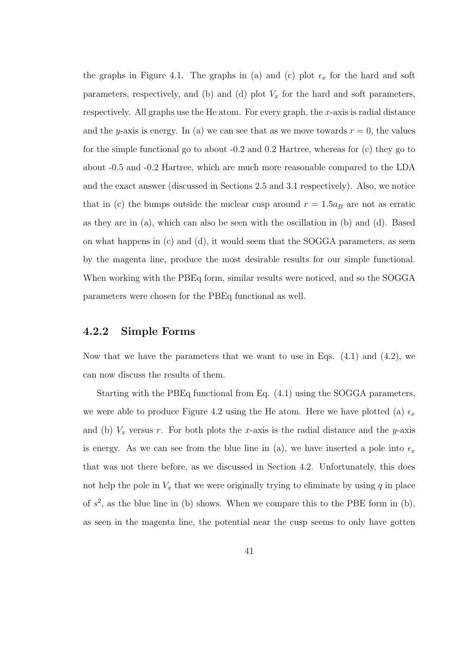the graphs in Figure 4.1. The graphs in (a) and (c) plot  $\epsilon_x$  for the hard and soft parameters, respectively, and (b) and (d) plot  $V_x$  for the hard and soft parameters, respectively. All graphs use the He atom. For every graph, the *x*-axis is radial distance and the *y*-axis is energy. In (a) we can see that as we move towards  $r = 0$ , the values for the simple functional go to about -0.2 and 0.2 Hartree, whereas for (c) they go to about -0.5 and -0.2 Hartree, which are much more reasonable compared to the LDA and the exact answer (discussed in Sections 2.5 and 3.1 respectively). Also, we notice that in (c) the bumps outside the nuclear cusp around  $r = 1.5a_B$  are not as erratic as they are in (a), which can also be seen with the oscillation in (b) and (d). Based on what happens in (c) and (d), it would seem that the SOGGA parameters, as seen by the magenta line, produce the most desirable results for our simple functional. When working with the PBEq form, similar results were noticed, and so the SOGGA parameters were chosen for the PBEq functional as well.

#### **4.2.2 Simple Forms**

Now that we have the parameters that we want to use in Eqs. (4.1) and (4.2), we can now discuss the results of them.

Starting with the PBEq functional from Eq. (4.1) using the SOGGA parameters, we were able to produce Figure 4.2 using the He atom. Here we have plotted (a)  $\epsilon_x$ and (b)  $V_x$  versus *r*. For both plots the *x*-axis is the radial distance and the *y*-axis is energy. As we can see from the blue line in (a), we have inserted a pole into  $\epsilon_x$ that was not there before, as we discussed in Section 4.2. Unfortunately, this does not help the pole in  $V_x$  that we were originally trying to eliminate by using  $q$  in place of  $s^2$ , as the blue line in (b) shows. When we compare this to the PBE form in (b), as seen in the magenta line, the potential near the cusp seems to only have gotten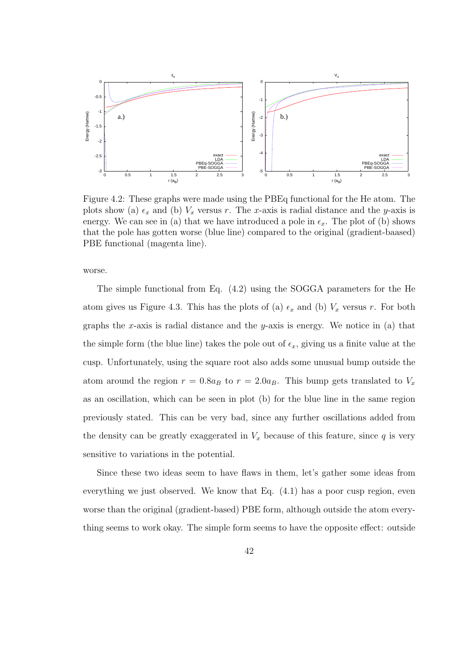

Figure 4.2: These graphs were made using the PBEq functional for the He atom. The plots show (a)  $\epsilon_x$  and (b)  $V_x$  versus *r*. The *x*-axis is radial distance and the *y*-axis is energy. We can see in (a) that we have introduced a pole in  $\epsilon_x$ . The plot of (b) shows that the pole has gotten worse (blue line) compared to the original (gradient-baased) PBE functional (magenta line).

worse.

The simple functional from Eq. (4.2) using the SOGGA parameters for the He atom gives us Figure 4.3. This has the plots of (a)  $\epsilon_x$  and (b)  $V_x$  versus *r*. For both graphs the *x*-axis is radial distance and the *y*-axis is energy. We notice in (a) that the simple form (the blue line) takes the pole out of  $\epsilon_x$ , giving us a finite value at the cusp. Unfortunately, using the square root also adds some unusual bump outside the atom around the region  $r = 0.8a_B$  to  $r = 2.0a_B$ . This bump gets translated to  $V_x$ as an oscillation, which can be seen in plot (b) for the blue line in the same region previously stated. This can be very bad, since any further oscillations added from the density can be greatly exaggerated in  $V_x$  because of this feature, since  $q$  is very sensitive to variations in the potential.

Since these two ideas seem to have flaws in them, let's gather some ideas from everything we just observed. We know that Eq. (4.1) has a poor cusp region, even worse than the original (gradient-based) PBE form, although outside the atom everything seems to work okay. The simple form seems to have the opposite effect: outside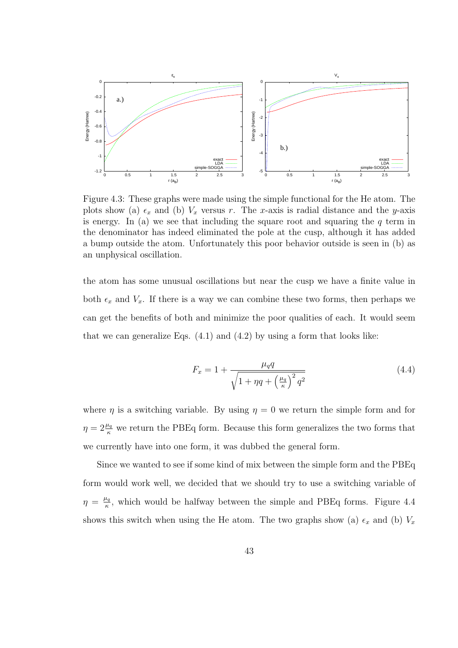

Figure 4.3: These graphs were made using the simple functional for the He atom. The plots show (a)  $\epsilon_x$  and (b)  $V_x$  versus *r*. The *x*-axis is radial distance and the *y*-axis is energy. In (a) we see that including the square root and squaring the *q* term in the denominator has indeed eliminated the pole at the cusp, although it has added a bump outside the atom. Unfortunately this poor behavior outside is seen in (b) as an unphysical oscillation.

the atom has some unusual oscillations but near the cusp we have a finite value in both  $\epsilon_x$  and  $V_x$ . If there is a way we can combine these two forms, then perhaps we can get the benefits of both and minimize the poor qualities of each. It would seem that we can generalize Eqs.  $(4.1)$  and  $(4.2)$  by using a form that looks like:

$$
F_x = 1 + \frac{\mu_q q}{\sqrt{1 + \eta q + \left(\frac{\mu_q}{\kappa}\right)^2 q^2}}\tag{4.4}
$$

where  $\eta$  is a switching variable. By using  $\eta = 0$  we return the simple form and for  $\eta = 2\frac{\mu_q}{\kappa}$  we return the PBEq form. Because this form generalizes the two forms that we currently have into one form, it was dubbed the general form.

Since we wanted to see if some kind of mix between the simple form and the PBEq form would work well, we decided that we should try to use a switching variable of  $\eta = \frac{\mu_q}{\kappa}$  $\frac{L_q}{R}$ , which would be halfway between the simple and PBEq forms. Figure 4.4 shows this switch when using the He atom. The two graphs show (a)  $\epsilon_x$  and (b)  $V_x$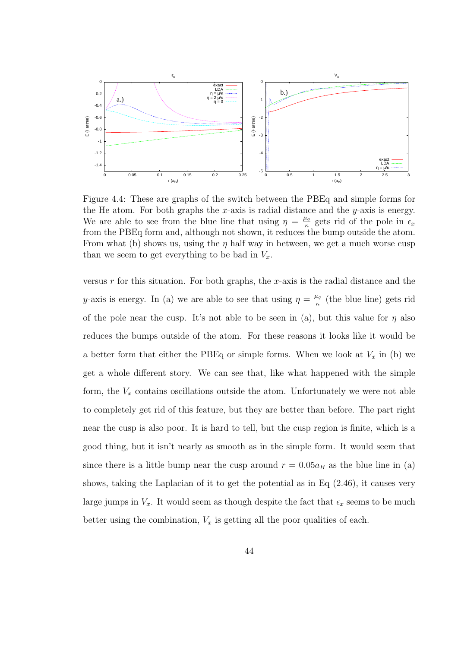

Figure 4.4: These are graphs of the switch between the PBEq and simple forms for the He atom. For both graphs the *x*-axis is radial distance and the *y*-axis is energy. We are able to see from the blue line that using  $\eta = \frac{\mu_q}{\kappa}$  $\frac{u_q}{\kappa}$  gets rid of the pole in  $\epsilon_x$ from the PBEq form and, although not shown, it reduces the bump outside the atom. From what (b) shows us, using the  $\eta$  half way in between, we get a much worse cusp than we seem to get everything to be bad in  $V_x$ .

versus *r* for this situation. For both graphs, the *x*-axis is the radial distance and the *y*-axis is energy. In (a) we are able to see that using  $\eta = \frac{\mu_q}{g}$ *κ* (the blue line) gets rid of the pole near the cusp. It's not able to be seen in (a), but this value for  $\eta$  also reduces the bumps outside of the atom. For these reasons it looks like it would be a better form that either the PBEq or simple forms. When we look at  $V_x$  in (b) we get a whole different story. We can see that, like what happened with the simple form, the  $V_x$  contains oscillations outside the atom. Unfortunately we were not able to completely get rid of this feature, but they are better than before. The part right near the cusp is also poor. It is hard to tell, but the cusp region is finite, which is a good thing, but it isn't nearly as smooth as in the simple form. It would seem that since there is a little bump near the cusp around  $r = 0.05a_B$  as the blue line in (a) shows, taking the Laplacian of it to get the potential as in Eq  $(2.46)$ , it causes very large jumps in  $V_x$ . It would seem as though despite the fact that  $\epsilon_x$  seems to be much better using the combination,  $V_x$  is getting all the poor qualities of each.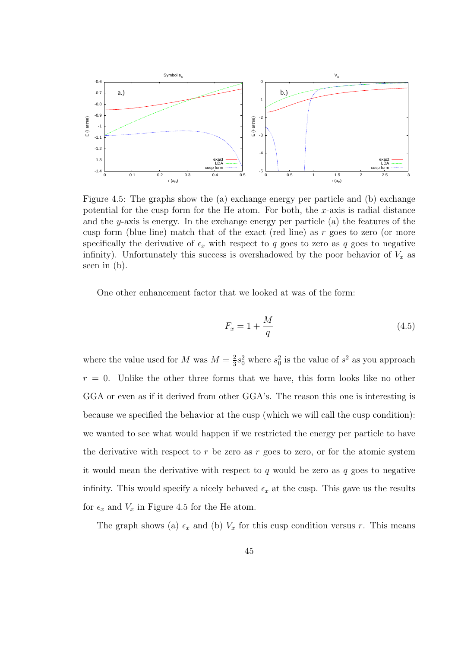

Figure 4.5: The graphs show the (a) exchange energy per particle and (b) exchange potential for the cusp form for the He atom. For both, the *x*-axis is radial distance and the *y*-axis is energy. In the exchange energy per particle (a) the features of the cusp form (blue line) match that of the exact (red line) as *r* goes to zero (or more specifically the derivative of  $\epsilon_x$  with respect to q goes to zero as q goes to negative infinity). Unfortunately this success is overshadowed by the poor behavior of  $V_x$  as seen in (b).

One other enhancement factor that we looked at was of the form:

$$
F_x = 1 + \frac{M}{q} \tag{4.5}
$$

where the value used for *M* was  $M = \frac{2}{3}$  $\frac{2}{3}s_0^2$  where  $s_0^2$  is the value of  $s^2$  as you approach  $r = 0$ . Unlike the other three forms that we have, this form looks like no other GGA or even as if it derived from other GGA's. The reason this one is interesting is because we specified the behavior at the cusp (which we will call the cusp condition): we wanted to see what would happen if we restricted the energy per particle to have the derivative with respect to *r* be zero as *r* goes to zero, or for the atomic system it would mean the derivative with respect to *q* would be zero as *q* goes to negative infinity. This would specify a nicely behaved  $\epsilon_x$  at the cusp. This gave us the results for  $\epsilon_x$  and  $V_x$  in Figure 4.5 for the He atom.

The graph shows (a)  $\epsilon_x$  and (b)  $V_x$  for this cusp condition versus *r*. This means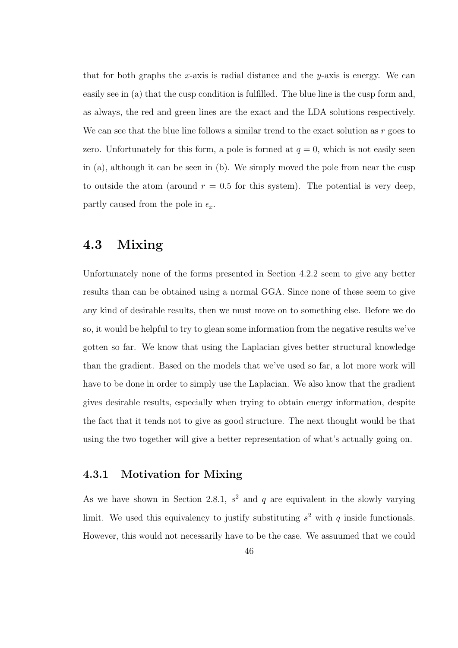that for both graphs the *x*-axis is radial distance and the *y*-axis is energy. We can easily see in (a) that the cusp condition is fulfilled. The blue line is the cusp form and, as always, the red and green lines are the exact and the LDA solutions respectively. We can see that the blue line follows a similar trend to the exact solution as *r* goes to zero. Unfortunately for this form, a pole is formed at  $q = 0$ , which is not easily seen in (a), although it can be seen in (b). We simply moved the pole from near the cusp to outside the atom (around  $r = 0.5$  for this system). The potential is very deep, partly caused from the pole in  $\epsilon_x$ .

### **4.3 Mixing**

Unfortunately none of the forms presented in Section 4.2.2 seem to give any better results than can be obtained using a normal GGA. Since none of these seem to give any kind of desirable results, then we must move on to something else. Before we do so, it would be helpful to try to glean some information from the negative results we've gotten so far. We know that using the Laplacian gives better structural knowledge than the gradient. Based on the models that we've used so far, a lot more work will have to be done in order to simply use the Laplacian. We also know that the gradient gives desirable results, especially when trying to obtain energy information, despite the fact that it tends not to give as good structure. The next thought would be that using the two together will give a better representation of what's actually going on.

#### **4.3.1 Motivation for Mixing**

As we have shown in Section 2.8.1,  $s^2$  and  $q$  are equivalent in the slowly varying limit. We used this equivalency to justify substituting  $s^2$  with  $q$  inside functionals. However, this would not necessarily have to be the case. We assuumed that we could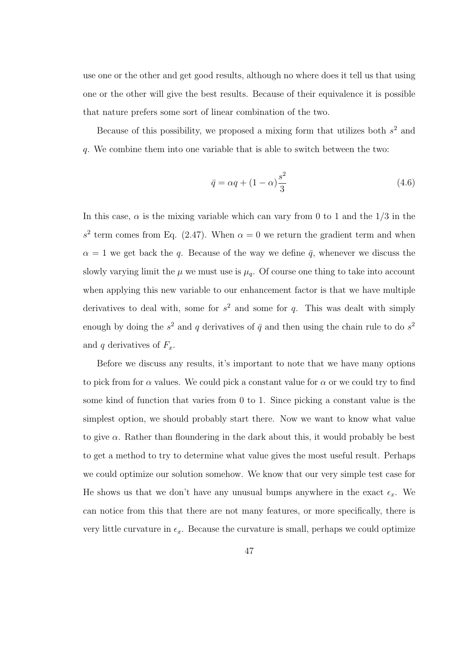use one or the other and get good results, although no where does it tell us that using one or the other will give the best results. Because of their equivalence it is possible that nature prefers some sort of linear combination of the two.

Because of this possibility, we proposed a mixing form that utilizes both *s* <sup>2</sup> and *q*. We combine them into one variable that is able to switch between the two:

$$
\bar{q} = \alpha q + (1 - \alpha) \frac{s^2}{3} \tag{4.6}
$$

In this case,  $\alpha$  is the mixing variable which can vary from 0 to 1 and the  $1/3$  in the  $s<sup>2</sup>$  term comes from Eq. (2.47). When  $\alpha = 0$  we return the gradient term and when  $\alpha = 1$  we get back the *q*. Because of the way we define  $\bar{q}$ , whenever we discuss the slowly varying limit the  $\mu$  we must use is  $\mu_q$ . Of course one thing to take into account when applying this new variable to our enhancement factor is that we have multiple derivatives to deal with, some for *s* <sup>2</sup> and some for *q*. This was dealt with simply enough by doing the  $s^2$  and  $q$  derivatives of  $\bar{q}$  and then using the chain rule to do  $s^2$ and *q* derivatives of  $F_x$ .

Before we discuss any results, it's important to note that we have many options to pick from for  $\alpha$  values. We could pick a constant value for  $\alpha$  or we could try to find some kind of function that varies from 0 to 1. Since picking a constant value is the simplest option, we should probably start there. Now we want to know what value to give *α*. Rather than floundering in the dark about this, it would probably be best to get a method to try to determine what value gives the most useful result. Perhaps we could optimize our solution somehow. We know that our very simple test case for He shows us that we don't have any unusual bumps anywhere in the exact  $\epsilon_x$ . We can notice from this that there are not many features, or more specifically, there is very little curvature in  $\epsilon_x$ . Because the curvature is small, perhaps we could optimize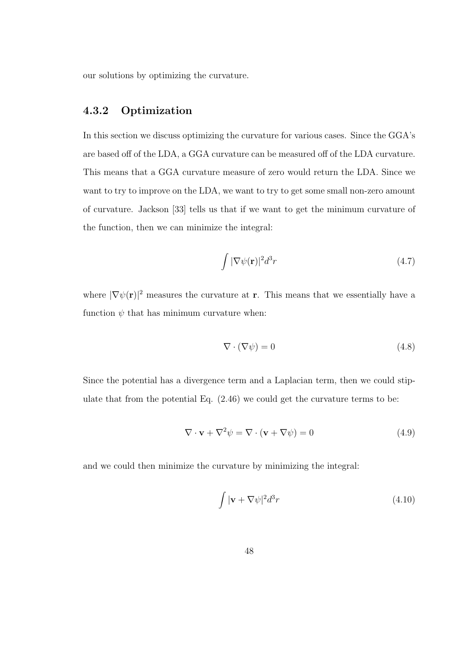our solutions by optimizing the curvature.

#### **4.3.2 Optimization**

In this section we discuss optimizing the curvature for various cases. Since the GGA's are based off of the LDA, a GGA curvature can be measured off of the LDA curvature. This means that a GGA curvature measure of zero would return the LDA. Since we want to try to improve on the LDA, we want to try to get some small non-zero amount of curvature. Jackson [33] tells us that if we want to get the minimum curvature of the function, then we can minimize the integral:

$$
\int |\nabla \psi(\mathbf{r})|^2 d^3r \tag{4.7}
$$

where  $|\nabla \psi(\mathbf{r})|^2$  measures the curvature at **r**. This means that we essentially have a function  $\psi$  that has minimum curvature when:

$$
\nabla \cdot (\nabla \psi) = 0 \tag{4.8}
$$

Since the potential has a divergence term and a Laplacian term, then we could stipulate that from the potential Eq. (2.46) we could get the curvature terms to be:

$$
\nabla \cdot \mathbf{v} + \nabla^2 \psi = \nabla \cdot (\mathbf{v} + \nabla \psi) = 0 \tag{4.9}
$$

and we could then minimize the curvature by minimizing the integral:

$$
\int |\mathbf{v} + \nabla \psi|^2 d^3 r \tag{4.10}
$$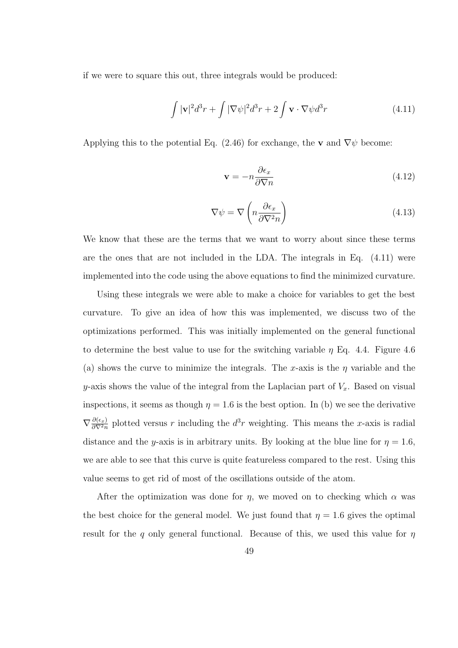if we were to square this out, three integrals would be produced:

$$
\int |\mathbf{v}|^2 d^3 r + \int |\nabla \psi|^2 d^3 r + 2 \int \mathbf{v} \cdot \nabla \psi d^3 r \tag{4.11}
$$

Applying this to the potential Eq. (2.46) for exchange, the **v** and  $\nabla \psi$  become:

$$
\mathbf{v} = -n \frac{\partial \epsilon_x}{\partial \nabla n} \tag{4.12}
$$

$$
\nabla \psi = \nabla \left( n \frac{\partial \epsilon_x}{\partial \nabla^2 n} \right) \tag{4.13}
$$

We know that these are the terms that we want to worry about since these terms are the ones that are not included in the LDA. The integrals in Eq. (4.11) were implemented into the code using the above equations to find the minimized curvature.

Using these integrals we were able to make a choice for variables to get the best curvature. To give an idea of how this was implemented, we discuss two of the optimizations performed. This was initially implemented on the general functional to determine the best value to use for the switching variable *η* Eq. 4.4. Figure 4.6 (a) shows the curve to minimize the integrals. The *x*-axis is the *η* variable and the *y*-axis shows the value of the integral from the Laplacian part of *Vx*. Based on visual inspections, it seems as though  $\eta = 1.6$  is the best option. In (b) we see the derivative  $\nabla \frac{\partial(\epsilon_x)}{\partial \nabla^2 n}$  $\frac{\partial(\epsilon_x)}{\partial \nabla^2 n}$  plotted versus *r* including the  $d^3r$  weighting. This means the *x*-axis is radial distance and the *y*-axis is in arbitrary units. By looking at the blue line for  $\eta = 1.6$ , we are able to see that this curve is quite featureless compared to the rest. Using this value seems to get rid of most of the oscillations outside of the atom.

After the optimization was done for  $\eta$ , we moved on to checking which  $\alpha$  was the best choice for the general model. We just found that  $\eta = 1.6$  gives the optimal result for the *q* only general functional. Because of this, we used this value for *η*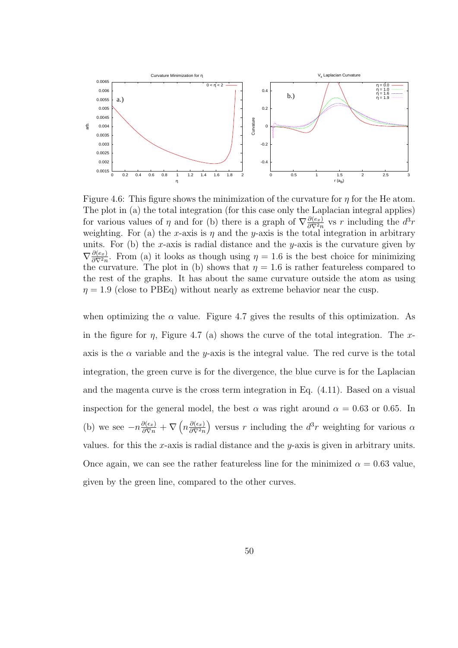

Figure 4.6: This figure shows the minimization of the curvature for *η* for the He atom. The plot in (a) the total integration (for this case only the Laplacian integral applies) for various values of *η* and for (b) there is a graph of  $\nabla \frac{\partial(e_x)}{\partial \nabla^2 n}$  $\frac{\partial(e_x)}{\partial \nabla^2 n}$  vs *r* including the  $d^3r$ weighting. For (a) the *x*-axis is  $\eta$  and the *y*-axis is the total integration in arbitrary units. For (b) the *x*-axis is radial distance and the *y*-axis is the curvature given by  $\nabla \frac{\partial(e_x)}{\partial \nabla^2 n}$  $\frac{\partial (e_x)}{\partial \nabla^2 n}$ . From (a) it looks as though using  $\eta = 1.6$  is the best choice for minimizing the curvature. The plot in (b) shows that  $\eta = 1.6$  is rather featureless compared to the rest of the graphs. It has about the same curvature outside the atom as using  $\eta = 1.9$  (close to PBEq) without nearly as extreme behavior near the cusp.

when optimizing the  $\alpha$  value. Figure 4.7 gives the results of this optimization. As in the figure for *η*, Figure 4.7 (a) shows the curve of the total integration. The *x*axis is the  $\alpha$  variable and the *y*-axis is the integral value. The red curve is the total integration, the green curve is for the divergence, the blue curve is for the Laplacian and the magenta curve is the cross term integration in Eq. (4.11). Based on a visual inspection for the general model, the best  $\alpha$  was right around  $\alpha = 0.63$  or 0.65. In (b) we see  $-n\frac{\partial(\epsilon_x)}{\partial \nabla^n} + \nabla(n\frac{\partial(\epsilon_x)}{\partial \nabla^2 n})$ *∂∇*2*n* ) versus *r* including the  $d^3r$  weighting for various  $\alpha$ values. for this the *x*-axis is radial distance and the *y*-axis is given in arbitrary units. Once again, we can see the rather featureless line for the minimized  $\alpha = 0.63$  value, given by the green line, compared to the other curves.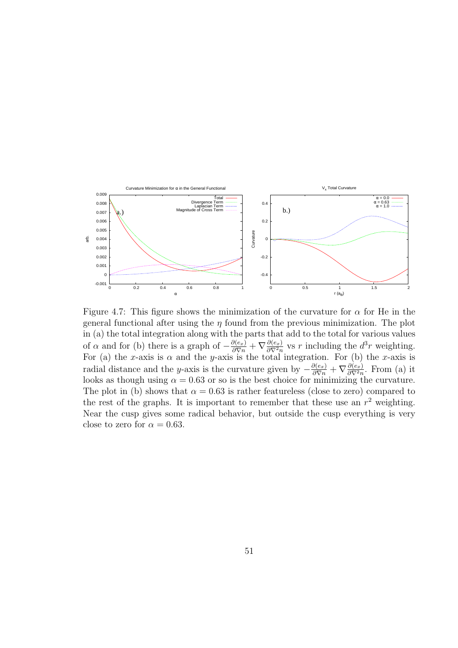

Figure 4.7: This figure shows the minimization of the curvature for  $\alpha$  for He in the general functional after using the  $\eta$  found from the previous minimization. The plot in (a) the total integration along with the parts that add to the total for various values of *α* and for (b) there is a graph of  $-\frac{\partial(e_x)}{\partial \nabla n} + \nabla \frac{\partial(e_x)}{\partial \nabla^2 n}$  $\frac{\partial(e_x)}{\partial \nabla^2 n}$  vs *r* including the  $d^3r$  weighting. For (a) the *x*-axis is  $\alpha$  and the *y*-axis is the total integration. For (b) the *x*-axis is radial distance and the *y*-axis is the curvature given by  $-\frac{\partial(e_x)}{\partial \nabla n} + \nabla \frac{\partial(e_x)}{\partial \nabla^2 n}$  $\frac{\partial(e_x)}{\partial \nabla^2 n}$ . From (a) it looks as though using  $\alpha = 0.63$  or so is the best choice for minimizing the curvature. The plot in (b) shows that  $\alpha = 0.63$  is rather featureless (close to zero) compared to the rest of the graphs. It is important to remember that these use an  $r^2$  weighting. Near the cusp gives some radical behavior, but outside the cusp everything is very close to zero for  $\alpha = 0.63$ .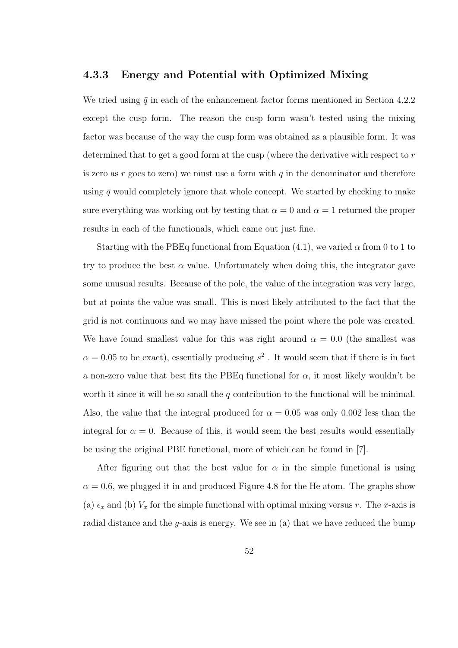#### **4.3.3 Energy and Potential with Optimized Mixing**

We tried using  $\bar{q}$  in each of the enhancement factor forms mentioned in Section 4.2.2 except the cusp form. The reason the cusp form wasn't tested using the mixing factor was because of the way the cusp form was obtained as a plausible form. It was determined that to get a good form at the cusp (where the derivative with respect to *r* is zero as *r* goes to zero) we must use a form with *q* in the denominator and therefore using  $\bar{q}$  would completely ignore that whole concept. We started by checking to make sure everything was working out by testing that  $\alpha = 0$  and  $\alpha = 1$  returned the proper results in each of the functionals, which came out just fine.

Starting with the PBEq functional from Equation  $(4.1)$ , we varied  $\alpha$  from 0 to 1 to try to produce the best  $\alpha$  value. Unfortunately when doing this, the integrator gave some unusual results. Because of the pole, the value of the integration was very large, but at points the value was small. This is most likely attributed to the fact that the grid is not continuous and we may have missed the point where the pole was created. We have found smallest value for this was right around  $\alpha = 0.0$  (the smallest was  $\alpha = 0.05$  to be exact), essentially producing  $s^2$ . It would seem that if there is in fact a non-zero value that best fits the PBE<sub>q</sub> functional for  $\alpha$ , it most likely wouldn't be worth it since it will be so small the *q* contribution to the functional will be minimal. Also, the value that the integral produced for  $\alpha = 0.05$  was only 0.002 less than the integral for  $\alpha = 0$ . Because of this, it would seem the best results would essentially be using the original PBE functional, more of which can be found in [7].

After figuring out that the best value for  $\alpha$  in the simple functional is using  $\alpha = 0.6$ , we plugged it in and produced Figure 4.8 for the He atom. The graphs show (a)  $\epsilon_x$  and (b)  $V_x$  for the simple functional with optimal mixing versus *r*. The *x*-axis is radial distance and the *y*-axis is energy. We see in (a) that we have reduced the bump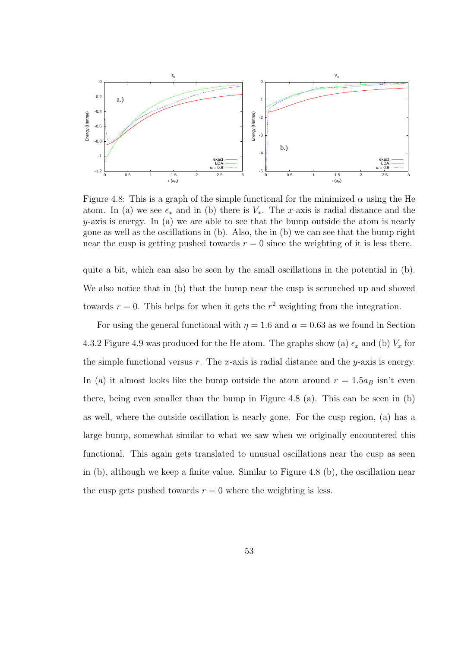

Figure 4.8: This is a graph of the simple functional for the minimized  $\alpha$  using the He atom. In (a) we see  $\epsilon_x$  and in (b) there is  $V_x$ . The *x*-axis is radial distance and the *y*-axis is energy. In (a) we are able to see that the bump outside the atom is nearly gone as well as the oscillations in (b). Also, the in (b) we can see that the bump right near the cusp is getting pushed towards  $r = 0$  since the weighting of it is less there.

quite a bit, which can also be seen by the small oscillations in the potential in (b). We also notice that in (b) that the bump near the cusp is scrunched up and shoved towards  $r = 0$ . This helps for when it gets the  $r<sup>2</sup>$  weighting from the integration.

For using the general functional with  $\eta = 1.6$  and  $\alpha = 0.63$  as we found in Section 4.3.2 Figure 4.9 was produced for the He atom. The graphs show (a)  $\epsilon_x$  and (b)  $V_x$  for the simple functional versus *r*. The *x*-axis is radial distance and the *y*-axis is energy. In (a) it almost looks like the bump outside the atom around  $r = 1.5a_B$  isn't even there, being even smaller than the bump in Figure 4.8 (a). This can be seen in (b) as well, where the outside oscillation is nearly gone. For the cusp region, (a) has a large bump, somewhat similar to what we saw when we originally encountered this functional. This again gets translated to unusual oscillations near the cusp as seen in (b), although we keep a finite value. Similar to Figure 4.8 (b), the oscillation near the cusp gets pushed towards  $r = 0$  where the weighting is less.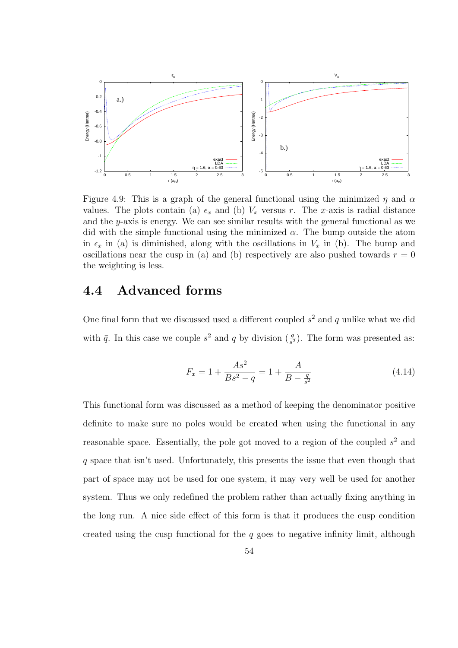

Figure 4.9: This is a graph of the general functional using the minimized *η* and *α* values. The plots contain (a)  $\epsilon_x$  and (b)  $V_x$  versus *r*. The *x*-axis is radial distance and the *y*-axis is energy. We can see similar results with the general functional as we did with the simple functional using the minimized  $\alpha$ . The bump outside the atom in  $\epsilon_x$  in (a) is diminished, along with the oscillations in  $V_x$  in (b). The bump and oscillations near the cusp in (a) and (b) respectively are also pushed towards  $r = 0$ the weighting is less.

## **4.4 Advanced forms**

One final form that we discussed used a different coupled  $s<sup>2</sup>$  and  $q$  unlike what we did with  $\bar{q}$ . In this case we couple  $s^2$  and  $q$  by division  $(\frac{q}{s^2})$ . The form was presented as:

$$
F_x = 1 + \frac{As^2}{Bs^2 - q} = 1 + \frac{A}{B - \frac{q}{s^2}}
$$
\n(4.14)

This functional form was discussed as a method of keeping the denominator positive definite to make sure no poles would be created when using the functional in any reasonable space. Essentially, the pole got moved to a region of the coupled *s* <sup>2</sup> and *q* space that isn't used. Unfortunately, this presents the issue that even though that part of space may not be used for one system, it may very well be used for another system. Thus we only redefined the problem rather than actually fixing anything in the long run. A nice side effect of this form is that it produces the cusp condition created using the cusp functional for the *q* goes to negative infinity limit, although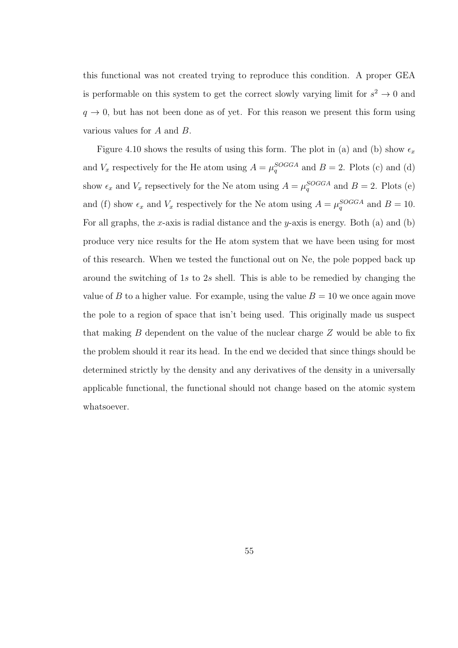this functional was not created trying to reproduce this condition. A proper GEA is performable on this system to get the correct slowly varying limit for  $s^2 \to 0$  and  $q \rightarrow 0$ , but has not been done as of yet. For this reason we present this form using various values for *A* and *B*.

Figure 4.10 shows the results of using this form. The plot in (a) and (b) show  $\epsilon_x$ and  $V_x$  respectively for the He atom using  $A = \mu_q^{SOGGA}$  and  $B = 2$ . Plots (c) and (d) show  $\epsilon_x$  and  $V_x$  repsectively for the Ne atom using  $A = \mu_q^{SOGGA}$  and  $B = 2$ . Plots (e) and (f) show  $\epsilon_x$  and  $V_x$  respectively for the Ne atom using  $A = \mu_q^{SOGGA}$  and  $B = 10$ . For all graphs, the *x*-axis is radial distance and the *y*-axis is energy. Both (a) and (b) produce very nice results for the He atom system that we have been using for most of this research. When we tested the functional out on Ne, the pole popped back up around the switching of 1*s* to 2*s* shell. This is able to be remedied by changing the value of *B* to a higher value. For example, using the value  $B = 10$  we once again move the pole to a region of space that isn't being used. This originally made us suspect that making *B* dependent on the value of the nuclear charge *Z* would be able to fix the problem should it rear its head. In the end we decided that since things should be determined strictly by the density and any derivatives of the density in a universally applicable functional, the functional should not change based on the atomic system whatsoever.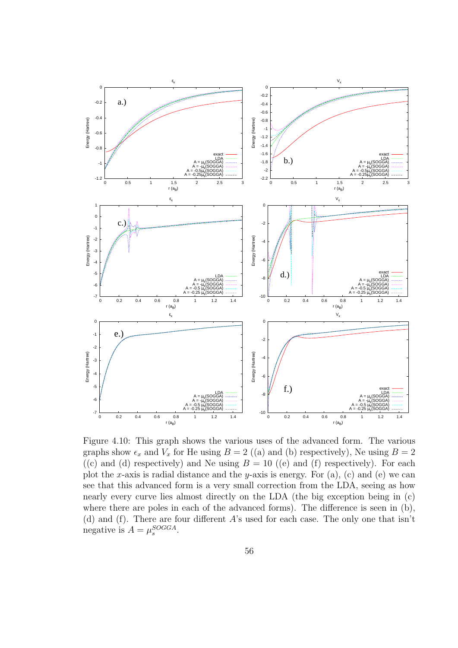

Figure 4.10: This graph shows the various uses of the advanced form. The various graphs show  $\epsilon_x$  and  $V_x$  for He using  $B = 2$  ((a) and (b) respectively), Ne using  $B = 2$ ((c) and (d) respectively) and Ne using  $B = 10$  ((e) and (f) respectively). For each plot the *x*-axis is radial distance and the *y*-axis is energy. For (a), (c) and (e) we can see that this advanced form is a very small correction from the LDA, seeing as how nearly every curve lies almost directly on the LDA (the big exception being in (c) where there are poles in each of the advanced forms). The difference is seen in  $(b)$ , (d) and (f). There are four different *A*'s used for each case. The only one that isn't negative is  $A = \mu_s^{SOGGA}$ .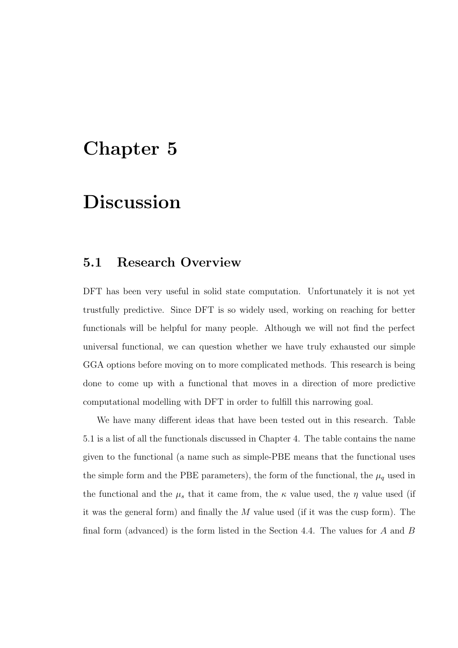## **Chapter 5**

# **Discussion**

### **5.1 Research Overview**

DFT has been very useful in solid state computation. Unfortunately it is not yet trustfully predictive. Since DFT is so widely used, working on reaching for better functionals will be helpful for many people. Although we will not find the perfect universal functional, we can question whether we have truly exhausted our simple GGA options before moving on to more complicated methods. This research is being done to come up with a functional that moves in a direction of more predictive computational modelling with DFT in order to fulfill this narrowing goal.

We have many different ideas that have been tested out in this research. Table 5.1 is a list of all the functionals discussed in Chapter 4. The table contains the name given to the functional (a name such as simple-PBE means that the functional uses the simple form and the PBE parameters), the form of the functional, the  $\mu_q$  used in the functional and the  $\mu_s$  that it came from, the  $\kappa$  value used, the  $\eta$  value used (if it was the general form) and finally the *M* value used (if it was the cusp form). The final form (advanced) is the form listed in the Section 4.4. The values for *A* and *B*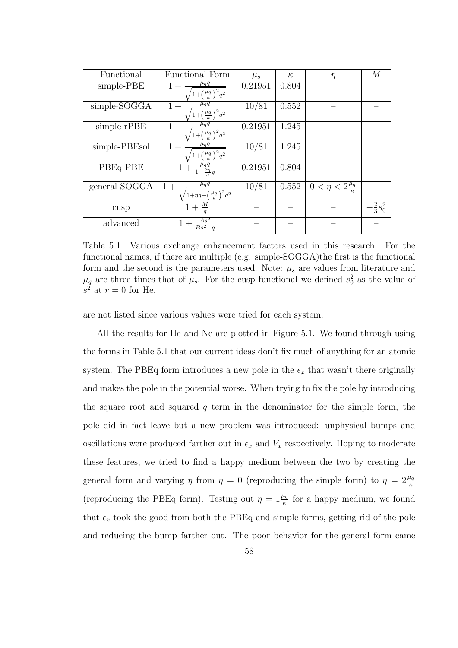| Functional    | <b>Functional Form</b>                                                         | $\mu_s$ | $\kappa$ | $\eta$                        | M                    |
|---------------|--------------------------------------------------------------------------------|---------|----------|-------------------------------|----------------------|
| simple-PBE    | $\mu_q q$<br>$1 +$                                                             | 0.21951 | 0.804    |                               |                      |
|               | $\sqrt{1+\left(\frac{\mu_q}{\kappa}\right)^2 q^2}$                             |         |          |                               |                      |
| simple-SOGGA  | $\mu_q q$<br>$1+$                                                              | 10/81   | 0.552    |                               |                      |
|               | $\sqrt{1+\left(\frac{\mu_q}{\kappa}\right)^2 q^2}$                             |         |          |                               |                      |
| simple-rPBE   | $\mu_q q$<br>$1+$                                                              | 0.21951 | 1.245    |                               |                      |
|               | $\left( \frac{\mu_q}{\kappa} \right)^2 q^2$                                    |         |          |                               |                      |
| simple-PBEsol | $\mu_q q$<br>$1+$                                                              | 10/81   | 1.245    |                               |                      |
|               | $1+\left(\frac{\mu q}{\kappa}\right)^2 q^2$                                    |         |          |                               |                      |
| PBEq-PBE      | $\frac{\mu_q q}{1+\frac{\mu_q}{q}q}$<br>$1+$                                   | 0.21951 | 0.804    |                               |                      |
|               |                                                                                |         |          |                               |                      |
| general-SOGGA | $\mu_q q$<br>$1+$                                                              | 10/81   | 0.552    | $0 < \eta < 2\frac{\mu_q}{r}$ |                      |
|               | $\left( \frac{1 + \eta q + \left(\frac{\mu_q}{\kappa}\right)^2 q^2}{} \right)$ |         |          |                               |                      |
| cusp          | $1+\frac{M}{4}$                                                                |         |          |                               | $-\frac{2}{3} s_0^2$ |
|               |                                                                                |         |          |                               |                      |
| advanced      | $\frac{As^2}{Bs^2-a}$                                                          |         |          |                               |                      |
|               |                                                                                |         |          |                               |                      |

Table 5.1: Various exchange enhancement factors used in this research. For the functional names, if there are multiple (e.g. simple-SOGGA)the first is the functional form and the second is the parameters used. Note:  $\mu_s$  are values from literature and  $\mu_q$  are three times that of  $\mu_s$ . For the cusp functional we defined  $s_0^2$  as the value of  $s^2$  at  $r = 0$  for He.

are not listed since various values were tried for each system.

All the results for He and Ne are plotted in Figure 5.1. We found through using the forms in Table 5.1 that our current ideas don't fix much of anything for an atomic system. The PBEq form introduces a new pole in the  $\epsilon_x$  that wasn't there originally and makes the pole in the potential worse. When trying to fix the pole by introducing the square root and squared *q* term in the denominator for the simple form, the pole did in fact leave but a new problem was introduced: unphysical bumps and oscillations were produced farther out in  $\epsilon_x$  and  $V_x$  respectively. Hoping to moderate these features, we tried to find a happy medium between the two by creating the general form and varying  $\eta$  from  $\eta = 0$  (reproducing the simple form) to  $\eta = 2\frac{\mu_q}{\kappa}$ (reproducing the PBEq form). Testing out  $\eta = 1 \frac{\mu_q}{\kappa}$  for a happy medium, we found that  $\epsilon_x$  took the good from both the PBEq and simple forms, getting rid of the pole and reducing the bump farther out. The poor behavior for the general form came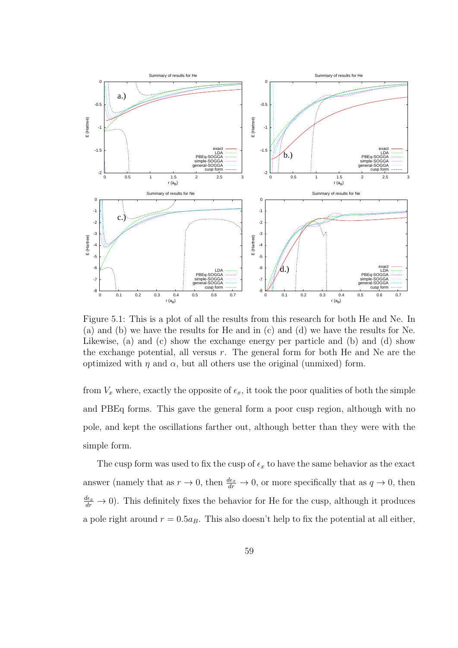

Figure 5.1: This is a plot of all the results from this research for both He and Ne. In (a) and (b) we have the results for He and in (c) and (d) we have the results for Ne. Likewise, (a) and (c) show the exchange energy per particle and (b) and (d) show the exchange potential, all versus *r*. The general form for both He and Ne are the optimized with  $η$  and  $α$ , but all others use the original (unmixed) form.

from  $V_x$  where, exactly the opposite of  $\epsilon_x$ , it took the poor qualities of both the simple and PBEq forms. This gave the general form a poor cusp region, although with no pole, and kept the oscillations farther out, although better than they were with the simple form.

The cusp form was used to fix the cusp of  $\epsilon_x$  to have the same behavior as the exact answer (namely that as  $r \to 0$ , then  $\frac{d\epsilon_x}{dr} \to 0$ , or more specifically that as  $q \to 0$ , then  $\frac{d\epsilon_x}{dr} \to 0$ ). This definitely fixes the behavior for He for the cusp, although it produces a pole right around  $r = 0.5a_B$ . This also doesn't help to fix the potential at all either,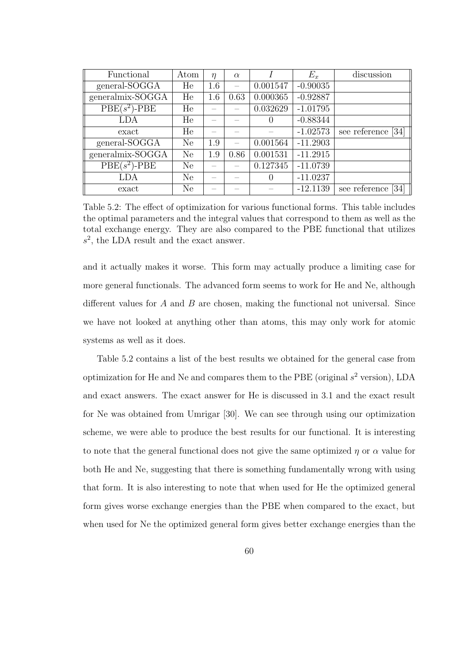| Functional       | Atom | $\eta$ | $\alpha$ |          | $E_x$      | discussion            |
|------------------|------|--------|----------|----------|------------|-----------------------|
| general-SOGGA    | He   | 1.6    |          | 0.001547 | $-0.90035$ |                       |
| generalmix-SOGGA | He   | 1.6    | 0.63     | 0.000365 | $-0.92887$ |                       |
| $PBE(s^2)$ -PBE  | He   |        |          | 0.032629 | $-1.01795$ |                       |
| LDA              | He   |        |          | $\theta$ | $-0.88344$ |                       |
| exact            | He   |        |          |          | $-1.02573$ | see reference<br>[34] |
| general-SOGGA    | Ne   | 1.9    |          | 0.001564 | $-11.2903$ |                       |
| generalmix-SOGGA | Ne   | 1.9    | 0.86     | 0.001531 | $-11.2915$ |                       |
| $PBE(s^2)$ -PBE  | Ne   |        |          | 0.127345 | $-11.0739$ |                       |
| LDA              | Ne   |        |          | $\theta$ | $-11.0237$ |                       |
| exact            | Ne   |        |          |          | $-12.1139$ | see reference<br>[34] |

Table 5.2: The effect of optimization for various functional forms. This table includes the optimal parameters and the integral values that correspond to them as well as the total exchange energy. They are also compared to the PBE functional that utilizes  $s^2$ , the LDA result and the exact answer.

and it actually makes it worse. This form may actually produce a limiting case for more general functionals. The advanced form seems to work for He and Ne, although different values for *A* and *B* are chosen, making the functional not universal. Since we have not looked at anything other than atoms, this may only work for atomic systems as well as it does.

Table 5.2 contains a list of the best results we obtained for the general case from optimization for He and Ne and compares them to the PBE (original *s* <sup>2</sup> version), LDA and exact answers. The exact answer for He is discussed in 3.1 and the exact result for Ne was obtained from Umrigar [30]. We can see through using our optimization scheme, we were able to produce the best results for our functional. It is interesting to note that the general functional does not give the same optimized *η* or *α* value for both He and Ne, suggesting that there is something fundamentally wrong with using that form. It is also interesting to note that when used for He the optimized general form gives worse exchange energies than the PBE when compared to the exact, but when used for Ne the optimized general form gives better exchange energies than the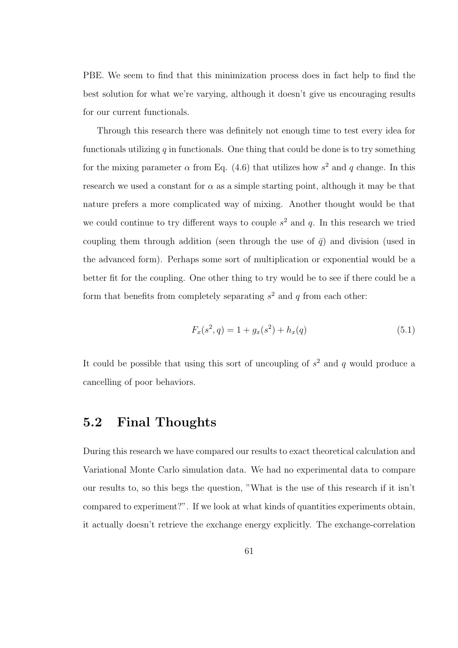PBE. We seem to find that this minimization process does in fact help to find the best solution for what we're varying, although it doesn't give us encouraging results for our current functionals.

Through this research there was definitely not enough time to test every idea for functionals utilizing  $q$  in functionals. One thing that could be done is to try something for the mixing parameter  $\alpha$  from Eq. (4.6) that utilizes how  $s^2$  and  $q$  change. In this research we used a constant for  $\alpha$  as a simple starting point, although it may be that nature prefers a more complicated way of mixing. Another thought would be that we could continue to try different ways to couple  $s<sup>2</sup>$  and  $q$ . In this research we tried coupling them through addition (seen through the use of  $\bar{q}$ ) and division (used in the advanced form). Perhaps some sort of multiplication or exponential would be a better fit for the coupling. One other thing to try would be to see if there could be a form that benefits from completely separating *s* <sup>2</sup> and *q* from each other:

$$
F_x(s^2, q) = 1 + g_x(s^2) + h_x(q)
$$
\n(5.1)

It could be possible that using this sort of uncoupling of *s* <sup>2</sup> and *q* would produce a cancelling of poor behaviors.

## **5.2 Final Thoughts**

During this research we have compared our results to exact theoretical calculation and Variational Monte Carlo simulation data. We had no experimental data to compare our results to, so this begs the question, "What is the use of this research if it isn't compared to experiment?". If we look at what kinds of quantities experiments obtain, it actually doesn't retrieve the exchange energy explicitly. The exchange-correlation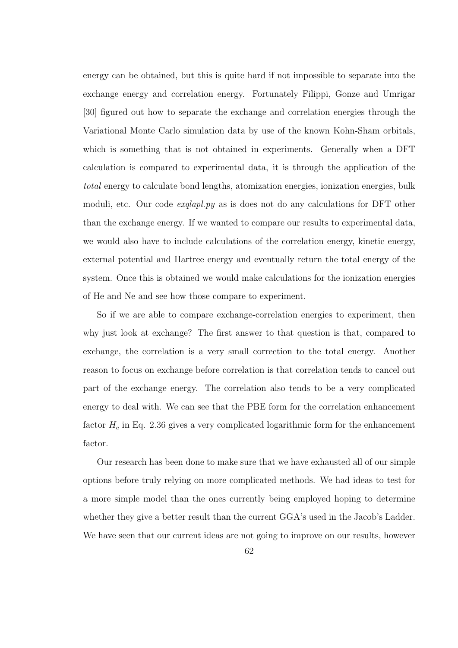energy can be obtained, but this is quite hard if not impossible to separate into the exchange energy and correlation energy. Fortunately Filippi, Gonze and Umrigar [30] figured out how to separate the exchange and correlation energies through the Variational Monte Carlo simulation data by use of the known Kohn-Sham orbitals, which is something that is not obtained in experiments. Generally when a DFT calculation is compared to experimental data, it is through the application of the *total* energy to calculate bond lengths, atomization energies, ionization energies, bulk moduli, etc. Our code *exqlapl.py* as is does not do any calculations for DFT other than the exchange energy. If we wanted to compare our results to experimental data, we would also have to include calculations of the correlation energy, kinetic energy, external potential and Hartree energy and eventually return the total energy of the system. Once this is obtained we would make calculations for the ionization energies of He and Ne and see how those compare to experiment.

So if we are able to compare exchange-correlation energies to experiment, then why just look at exchange? The first answer to that question is that, compared to exchange, the correlation is a very small correction to the total energy. Another reason to focus on exchange before correlation is that correlation tends to cancel out part of the exchange energy. The correlation also tends to be a very complicated energy to deal with. We can see that the PBE form for the correlation enhancement factor  $H_c$  in Eq. 2.36 gives a very complicated logarithmic form for the enhancement factor.

Our research has been done to make sure that we have exhausted all of our simple options before truly relying on more complicated methods. We had ideas to test for a more simple model than the ones currently being employed hoping to determine whether they give a better result than the current GGA's used in the Jacob's Ladder. We have seen that our current ideas are not going to improve on our results, however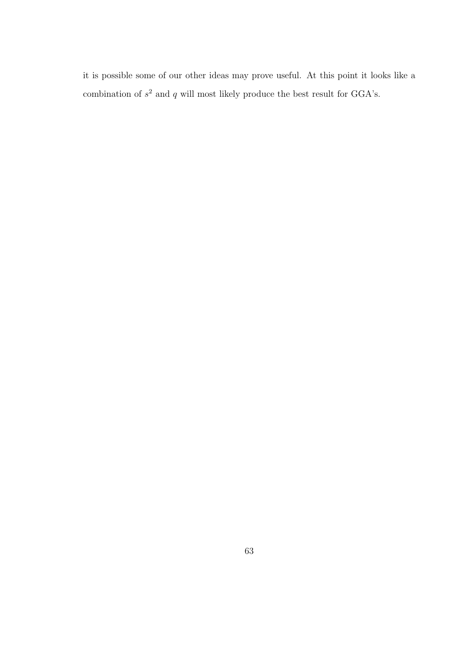it is possible some of our other ideas may prove useful. At this point it looks like a combination of  $s^2$  and  $q$  will most likely produce the best result for GGA's.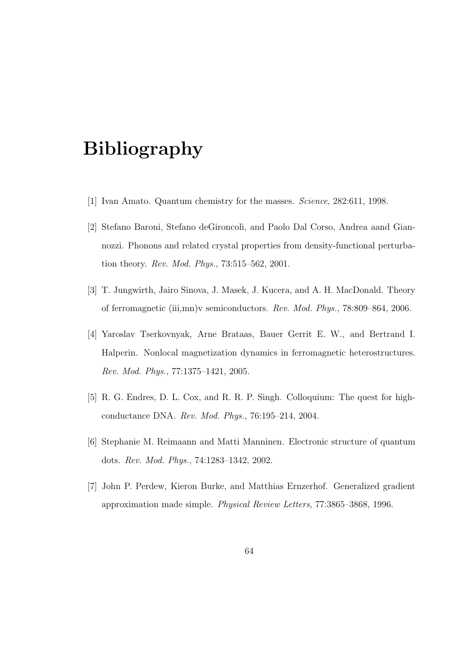# **Bibliography**

- [1] Ivan Amato. Quantum chemistry for the masses. *Science*, 282:611, 1998.
- [2] Stefano Baroni, Stefano deGironcoli, and Paolo Dal Corso, Andrea aand Giannozzi. Phonons and related crystal properties from density-functional perturbation theory. *Rev. Mod. Phys.*, 73:515–562, 2001.
- [3] T. Jungwirth, Jairo Sinova, J. Masek, J. Kucera, and A. H. MacDonald. Theory of ferromagnetic (iii,mn)v semiconductors. *Rev. Mod. Phys.*, 78:809–864, 2006.
- [4] Yaroslav Tserkovnyak, Arne Brataas, Bauer Gerrit E. W., and Bertrand I. Halperin. Nonlocal magnetization dynamics in ferromagnetic heterostructures. *Rev. Mod. Phys.*, 77:1375–1421, 2005.
- [5] R. G. Endres, D. L. Cox, and R. R. P. Singh. Colloquium: The quest for highconductance DNA. *Rev. Mod. Phys.*, 76:195–214, 2004.
- [6] Stephanie M. Reimaann and Matti Manninen. Electronic structure of quantum dots. *Rev. Mod. Phys.*, 74:1283–1342, 2002.
- [7] John P. Perdew, Kieron Burke, and Matthias Ernzerhof. Generalized gradient approximation made simple. *Physical Review Letters*, 77:3865–3868, 1996.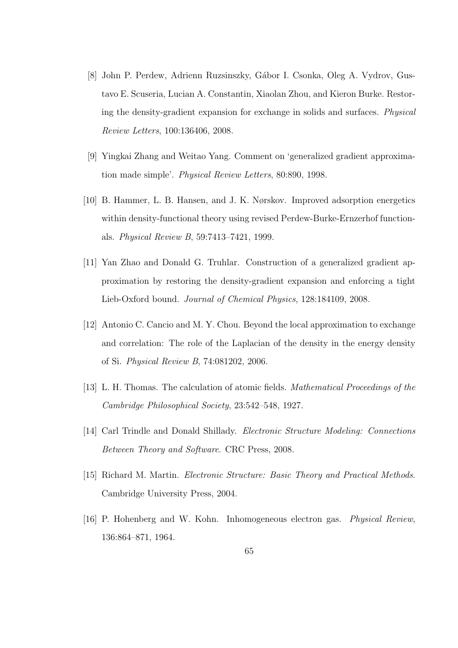- [8] John P. Perdew, Adrienn Ruzsinszky, Gábor I. Csonka, Oleg A. Vydrov, Gustavo E. Scuseria, Lucian A. Constantin, Xiaolan Zhou, and Kieron Burke. Restoring the density-gradient expansion for exchange in solids and surfaces. *Physical Review Letters*, 100:136406, 2008.
- [9] Yingkai Zhang and Weitao Yang. Comment on 'generalized gradient approximation made simple'. *Physical Review Letters*, 80:890, 1998.
- [10] B. Hammer, L. B. Hansen, and J. K. Nørskov. Improved adsorption energetics within density-functional theory using revised Perdew-Burke-Ernzerhof functionals. *Physical Review B*, 59:7413–7421, 1999.
- [11] Yan Zhao and Donald G. Truhlar. Construction of a generalized gradient approximation by restoring the density-gradient expansion and enforcing a tight Lieb-Oxford bound. *Journal of Chemical Physics*, 128:184109, 2008.
- [12] Antonio C. Cancio and M. Y. Chou. Beyond the local approximation to exchange and correlation: The role of the Laplacian of the density in the energy density of Si. *Physical Review B*, 74:081202, 2006.
- [13] L. H. Thomas. The calculation of atomic fields. *Mathematical Proceedings of the Cambridge Philosophical Society*, 23:542–548, 1927.
- [14] Carl Trindle and Donald Shillady. *Electronic Structure Modeling: Connections Between Theory and Software*. CRC Press, 2008.
- [15] Richard M. Martin. *Electronic Structure: Basic Theory and Practical Methods*. Cambridge University Press, 2004.
- [16] P. Hohenberg and W. Kohn. Inhomogeneous electron gas. *Physical Review*, 136:864–871, 1964.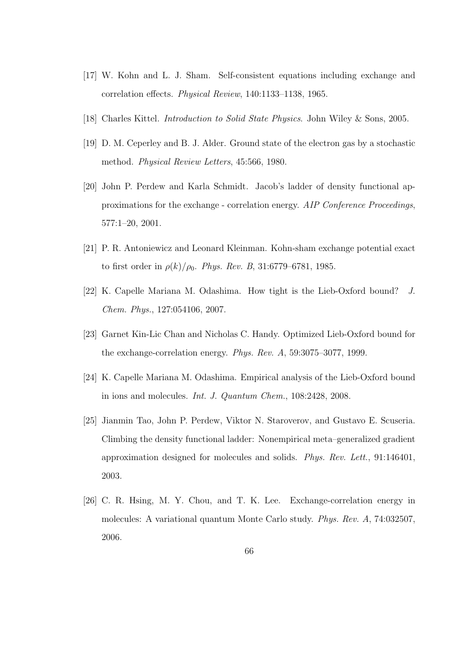- [17] W. Kohn and L. J. Sham. Self-consistent equations including exchange and correlation effects. *Physical Review*, 140:1133–1138, 1965.
- [18] Charles Kittel. *Introduction to Solid State Physics*. John Wiley & Sons, 2005.
- [19] D. M. Ceperley and B. J. Alder. Ground state of the electron gas by a stochastic method. *Physical Review Letters*, 45:566, 1980.
- [20] John P. Perdew and Karla Schmidt. Jacob's ladder of density functional approximations for the exchange - correlation energy. *AIP Conference Proceedings*, 577:1–20, 2001.
- [21] P. R. Antoniewicz and Leonard Kleinman. Kohn-sham exchange potential exact to first order in  $\rho(k)/\rho_0$ . *Phys. Rev. B*, 31:6779–6781, 1985.
- [22] K. Capelle Mariana M. Odashima. How tight is the Lieb-Oxford bound? *J. Chem. Phys.*, 127:054106, 2007.
- [23] Garnet Kin-Lic Chan and Nicholas C. Handy. Optimized Lieb-Oxford bound for the exchange-correlation energy. *Phys. Rev. A*, 59:3075–3077, 1999.
- [24] K. Capelle Mariana M. Odashima. Empirical analysis of the Lieb-Oxford bound in ions and molecules. *Int. J. Quantum Chem.*, 108:2428, 2008.
- [25] Jianmin Tao, John P. Perdew, Viktor N. Staroverov, and Gustavo E. Scuseria. Climbing the density functional ladder: Nonempirical meta–generalized gradient approximation designed for molecules and solids. *Phys. Rev. Lett.*, 91:146401, 2003.
- [26] C. R. Hsing, M. Y. Chou, and T. K. Lee. Exchange-correlation energy in molecules: A variational quantum Monte Carlo study. *Phys. Rev. A*, 74:032507, 2006.